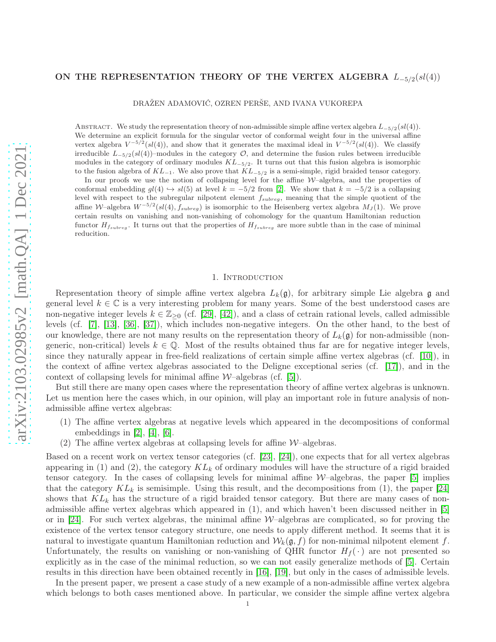## ON THE REPRESENTATION THEORY OF THE VERTEX ALGEBRA  $L_{-5/2}(sl(4))$

DRAŽEN ADAMOVIĆ, OZREN PERŠE, AND IVANA VUKOREPA

ABSTRACT. We study the representation theory of non-admissible simple affine vertex algebra  $L_{-5/2}(sl(4))$ . We determine an explicit formula for the singular vector of conformal weight four in the universal affine vertex algebra  $V^{-5/2}(sl(4))$ , and show that it generates the maximal ideal in  $V^{-5/2}(sl(4))$ . We classify irreducible  $L_{-5/2}(sl(4))$ –modules in the category  $\mathcal{O}$ , and determine the fusion rules between irreducible modules in the category of ordinary modules  $KL_{-5/2}$ . It turns out that this fusion algebra is isomorphic to the fusion algebra of  $KL_{-1}$ . We also prove that  $KL_{-5/2}$  is a semi-simple, rigid braided tensor category.

In our proofs we use the notion of collapsing level for the affine  $W$ –algebra, and the properties of conformal embedding  $gl(4) \hookrightarrow sl(5)$  at level  $k = -5/2$  from [\[2\]](#page-25-0). We show that  $k = -5/2$  is a collapsing level with respect to the subregular nilpotent element  $f_{subreg}$ , meaning that the simple quotient of the affine W–algebra  $W^{-5/2}(sl(4), f_{subreg})$  is isomorphic to the Heisenberg vertex algebra  $M<sub>J</sub>(1)$ . We prove certain results on vanishing and non-vanishing of cohomology for the quantum Hamiltonian reduction functor  $H_{f_{subreg}}$ . It turns out that the properties of  $H_{f_{subreg}}$  are more subtle than in the case of minimal reducition.

#### 1. Introduction

Representation theory of simple affine vertex algebra  $L_k(\mathfrak{g})$ , for arbitrary simple Lie algebra  $\mathfrak g$  and general level  $k \in \mathbb{C}$  is a very interesting problem for many years. Some of the best understood cases are non-negative integer levels  $k \in \mathbb{Z}_{\geq 0}$  (cf. [\[29\]](#page-26-0), [\[42\]](#page-26-1)), and a class of cetrain rational levels, called admissible levels (cf. [\[7\]](#page-25-1), [\[13\]](#page-25-2), [\[36\]](#page-26-2), [\[37\]](#page-26-3)), which includes non-negative integers. On the other hand, to the best of our knowledge, there are not many results on the representation theory of  $L_k(\mathfrak{g})$  for non-admissible (nongeneric, non-critical) levels  $k \in \mathbb{Q}$ . Most of the results obtained thus far are for negative integer levels, since they naturally appear in free-field realizations of certain simple affine vertex algebras (cf. [\[10\]](#page-25-3)), in the context of affine vertex algebras associated to the Deligne exceptional series (cf. [\[17\]](#page-25-4)), and in the context of collapsing levels for minimal affine  $W$ –algebras (cf. [\[5\]](#page-25-5)).

But still there are many open cases where the representation theory of affine vertex algebras is unknown. Let us mention here the cases which, in our opinion, will play an important role in future analysis of nonadmissible affine vertex algebras:

- (1) The affine vertex algebras at negative levels which appeared in the decompositions of conformal embeddings in  $[2]$ ,  $[4]$ ,  $[6]$ .
- (2) The affine vertex algebras at collapsing levels for affine  $\mathcal{W}-$ algebras.

Based on a recent work on vertex tensor categories (cf. [\[23\]](#page-25-8), [\[24\]](#page-25-9)), one expects that for all vertex algebras appearing in (1) and (2), the category  $KL_k$  of ordinary modules will have the structure of a rigid braided tensor category. In the cases of collapsing levels for minimal affine  $W$ –algebras, the paper [\[5\]](#page-25-5) implies that the category  $KL_k$  is semisimple. Using this result, and the decompositions from (1), the paper [\[24\]](#page-25-9) shows that  $KL_k$  has the structure of a rigid braided tensor category. But there are many cases of nonadmissible affine vertex algebras which appeared in (1), and which haven't been discussed neither in [\[5\]](#page-25-5) or in [\[24\]](#page-25-9). For such vertex algebras, the minimal affine  $W$ –algebras are complicated, so for proving the existence of the vertex tensor category structure, one needs to apply different method. It seems that it is natural to investigate quantum Hamiltonian reduction and  $W_k(\mathfrak{g}, f)$  for non-minimal nilpotent element f. Unfortunately, the results on vanishing or non-vanishing of QHR functor  $H_f(\cdot)$  are not presented so explicitly as in the case of the minimal reduction, so we can not easily generalize methods of [\[5\]](#page-25-5). Certain results in this direction have been obtained recently in [\[16\]](#page-25-10), [\[19\]](#page-25-11), but only in the cases of admissible levels.

In the present paper, we present a case study of a new example of a non-admissible affine vertex algebra which belongs to both cases mentioned above. In particular, we consider the simple affine vertex algebra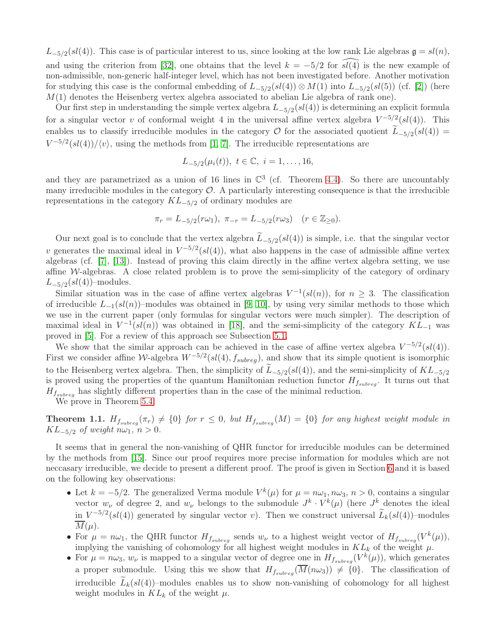$L_{-5/2}(sl(4))$ . This case is of particular interest to us, since looking at the low rank Lie algebras  $\mathfrak{g}=sl(n)$ , and using the criterion from [\[32\]](#page-26-4), one obtains that the level  $k = -5/2$  for  $sl(4)$  is the new example of non-admissible, non-generic half-integer level, which has not been investigated before. Another motivation for studying this case is the conformal embedding of  $L_{-5/2}(sl(4)) \otimes M(1)$  into  $L_{-5/2}(sl(5))$  (cf. [\[2\]](#page-25-0)) (here  $M(1)$  denotes the Heisenberg vertex algebra associated to abelian Lie algebra of rank one).

Our first step in understanding the simple vertex algebra  $L_{-5/2}(sl(4))$  is determining an explicit formula for a singular vector v of conformal weight 4 in the universal affine vertex algebra  $V^{-5/2}(sl(4))$ . This enables us to classify irreducible modules in the category  $\mathcal O$  for the associated quotient  $L_{-5/2}(sl(4))$  =  $V^{-5/2}(sl(4))/\langle v\rangle$ , using the methods from [\[1,](#page-25-12) [7\]](#page-25-1). The irreducible representations are

$$
L_{-5/2}(\mu_i(t)), \ t \in \mathbb{C}, \ i = 1, \ldots, 16,
$$

and they are parametrized as a union of 16 lines in  $\mathbb{C}^3$  (cf. Theorem [4.4\)](#page-10-0). So there are uncountably many irreducible modules in the category  $\mathcal{O}$ . A particularly interesting consequence is that the irreducible representations in the category  $KL_{-5/2}$  of ordinary modules are

$$
\pi_r = L_{-5/2}(r\omega_1), \ \pi_{-r} = L_{-5/2}(r\omega_3) \quad (r \in \mathbb{Z}_{\geq 0}).
$$

Our next goal is to conclude that the vertex algebra  $L_{-5/2}(sl(4))$  is simple, i.e. that the singular vector v generates the maximal ideal in  $V^{-5/2}(sl(4))$ , what also happens in the case of admissible affine vertex algebras (cf. [\[7\]](#page-25-1), [\[13\]](#page-25-2)). Instead of proving this claim directly in the affine vertex algebra setting, we use affine  $W$ -algebras. A close related problem is to prove the semi-simplicity of the category of ordinary  $L_{-5/2}(sl(4))$ -modules.

Similar situation was in the case of affine vertex algebras  $V^{-1}(sl(n))$ , for  $n \geq 3$ . The classification of irreducible  $L_{-1}(sl(n))$ –modules was obtained in [\[9,](#page-25-13) [10\]](#page-25-3), by using very similar methods to those which we use in the current paper (only formulas for singular vectors were much simpler). The description of maximal ideal in  $V^{-1}(sl(n))$  was obtained in [\[18\]](#page-25-14), and the semi-simplicity of the category  $KL_{-1}$  was proved in [\[5\]](#page-25-5). For a review of this approach see Subsection [5.1.](#page-11-0)

We show that the similar approach can be achieved in the case of affine vertex algebra  $V^{-5/2}(sl(4))$ . First we consider affine W-algebra  $W^{-5/2}(sl(4), f_{subreg})$ , and show that its simple quotient is isomorphic to the Heisenberg vertex algebra. Then, the simplicity of  $L_{-5/2}(sl(4))$ , and the semi-simplicity of  $KL_{-5/2}$ is proved using the properties of the quantum Hamiltonian reduction functor  $H_{fsubrec}$ . It turns out that  $H_{f_{subreq}}$  has slightly different properties than in the case of the minimal reduction.

We prove in Theorem [5.4:](#page-12-0)

**Theorem 1.1.**  $H_{f_{subreg}}(\pi_r) \neq \{0\}$  for  $r \leq 0$ , but  $H_{f_{subreg}}(M) = \{0\}$  for any highest weight module in  $KL_{-5/2}$  of weight  $n\omega_1$ ,  $n > 0$ .

It seems that in general the non-vanishing of QHR functor for irreducible modules can be determined by the methods from [\[15\]](#page-25-15). Since our proof requires more precise information for modules which are not neccasary irreducible, we decide to present a different proof. The proof is given in Section [6](#page-13-0) and it is based on the following key observations:

- Let  $k = -5/2$ . The generalized Verma module  $V^k(\mu)$  for  $\mu = n\omega_1, n\omega_3, n > 0$ , contains a singular vector  $w_{\nu}$  of degree 2, and  $w_{\nu}$  belongs to the submodule  $J^k \cdot V^k(\mu)$  (here  $J^k$  denotes the ideal  $\underline{\text{in}} V^{-5/2}(sl(4))$  generated by singular vector v). Then we construct universal  $\tilde{L}_k(sl(4))$ -modules  $\overline{M}(\mu)$ .
- For  $\mu = n\omega_1$ , the QHR functor  $H_{f_{subreg}}$  sends  $w_{\nu}$  to a highest weight vector of  $H_{f_{subreg}}(V^k(\mu))$ , implying the vanishing of cohomology for all highest weight modules in  $KL_k$  of the weight  $\mu$ .
- For  $\mu = n\omega_3$ ,  $w_{\nu}$  is mapped to a singular vector of degree one in  $H_{f_{subreg}}(V^k(\mu))$ , which generates a proper submodule. Using this we show that  $H_{f_{subreq}}(\overline{M}(n\omega_3)) \neq \{0\}$ . The classification of irreducible  $L_k(sl(4))$ -modules enables us to show non-vanishing of cohomology for all highest weight modules in  $KL_k$  of the weight  $\mu$ .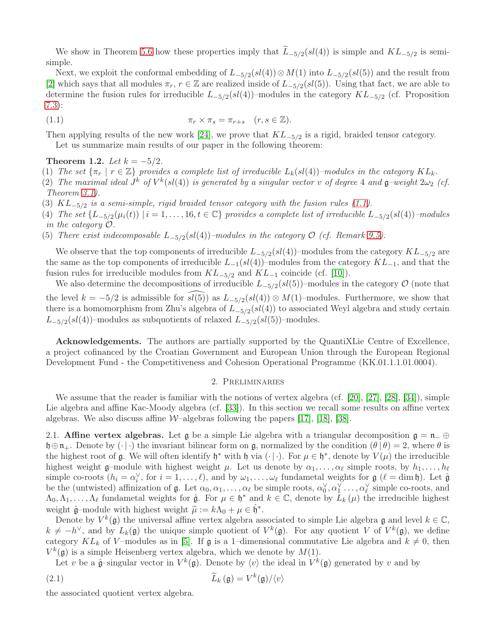We show in Theorem [5.6](#page-13-1) how these properties imply that  $L_{-5/2}(sl(4))$  is simple and  $KL_{-5/2}$  is semisimple.

Next, we exploit the conformal embedding of  $L_{-5/2}(sl(4)) \otimes M(1)$  into  $L_{-5/2}(sl(5))$  and the result from [\[2\]](#page-25-0) which says that all modules  $\pi_r$ ,  $r \in \mathbb{Z}$  are realized inside of  $L_{-5/2}(sl(5))$ . Using that fact, we are able to determine the fusion rules for irreducible  $L_{-5/2}(sl(4))$ -modules in the category  $KL_{-5/2}$  (cf. Proposition [7.3\)](#page-19-0):

(1.1) 
$$
\pi_r \times \pi_s = \pi_{r+s} \quad (r, s \in \mathbb{Z}).
$$

<span id="page-2-0"></span>Then applying results of the new work [\[24\]](#page-25-9), we prove that  $KL_{-5/2}$  is a rigid, braided tensor category. Let us summarize main results of our paper in the following theorem:

Theorem 1.2. Let  $k = -5/2$ .

- (1) The set  $\{\pi_r \mid r \in \mathbb{Z}\}$  provides a complete list of irreducible  $L_k(sl(4))$ –modules in the category  $KL_k$ .
- (2) The maximal ideal  $J^k$  of  $V^k(sl(4))$  is generated by a singular vector v of degree 4 and  $\mathfrak{g}-weight$   $2\omega_2$  (cf. Theorem [3.1\)](#page-5-0).
- (3)  $KL_{-5/2}$  is a semi-simple, rigid braided tensor category with the fusion rules [\(1.1\)](#page-2-0).
- (4) The set  $\{L_{-5/2}(\mu_i(t)) \mid i = 1, \ldots, 16, t \in \mathbb{C}\}$  provides a complete list of irreducible  $L_{-5/2}(sl(4))$ -modules in the category O.
- (5) There exist indecomposable  $L_{-5/2}(sl(4))$ -modules in the category  $\mathcal{O}$  (cf. Remark [9.5\)](#page-24-0).

We observe that the top components of irreducible  $L_{-5/2}(sl(4))$ –modules from the category  $KL_{-5/2}$  are the same as the top components of irreducible  $L_{-1}(sl(4))$ –modules from the category  $KL_{-1}$ , and that the fusion rules for irreducible modules from  $KL_{-5/2}$  and  $KL_{-1}$  coincide (cf. [\[10\]](#page-25-3)).

We also determine the decompositions of irreducible  $L_{-5/2}(sl(5))$ -modules in the category  $\mathcal{O}$  (note that the level  $k = -5/2$  is admissible for  $\widehat{sl(5)}$  as  $L_{-5/2}(sl(4)) \otimes M(1)$ -modules. Furthermore, we show that there is a homomorphism from Zhu's algebra of  $L_{-5/2}(sl(4))$  to associated Weyl algebra and study certain  $L_{-5/2}(sl(4))$ -modules as subquotients of relaxed  $L_{-5/2}(sl(5))$ -modules.

Acknowledgements. The authors are partially supported by the QuantiXLie Centre of Excellence, a project cofinanced by the Croatian Government and European Union through the European Regional Development Fund - the Competitiveness and Cohesion Operational Programme (KK.01.1.1.01.0004).

#### 2. Preliminaries

We assume that the reader is familiar with the notions of vertex algebra (cf. [\[20\]](#page-25-16), [\[27\]](#page-25-17), [\[28\]](#page-26-5), [\[34\]](#page-26-6)), simple Lie algebra and affine Kac-Moody algebra (cf. [\[33\]](#page-26-7)). In this section we recall some results on affine vertex algebras. We also discuss affine  $W$ –algebras following the papers [\[17\]](#page-25-4), [\[18\]](#page-25-14), [\[38\]](#page-26-8).

2.1. Affine vertex algebras. Let g be a simple Lie algebra with a triangular decomposition  $\mathfrak{g} = \mathfrak{n}_-\oplus$  $\mathfrak{h}\oplus\mathfrak{n}_+$ . Denote by  $(\cdot \mid \cdot)$  the invariant bilinear form on g, normalized by the condition  $(\theta | \theta) = 2$ , where  $\theta$  is the highest root of g. We will often identify  $\mathfrak{h}^*$  with  $\mathfrak{h}$  via  $(\cdot | \cdot)$ . For  $\mu \in \mathfrak{h}^*$ , denote by  $V(\mu)$  the irreducible highest weight g–module with highest weight  $\mu$ . Let us denote by  $\alpha_1, \ldots, \alpha_\ell$  simple roots, by  $h_1, \ldots, h_\ell$ simple co-roots  $(h_i = \alpha_i^{\vee}$ , for  $i = 1, \ldots, \ell)$ , and by  $\omega_1, \ldots, \omega_{\ell}$  fundametal weights for  $\mathfrak{g}(\ell = \dim \mathfrak{h})$ . Let  $\hat{\mathfrak{g}}$ be the (untwisted) affinization of  $\mathfrak{g}$ . Let  $\alpha_0, \alpha_1, \ldots, \alpha_\ell$  be simple roots,  $\alpha_0^{\vee}, \alpha_1^{\vee}, \ldots, \alpha_\ell^{\vee}$  simple co-roots, and  $\Lambda_0, \Lambda_1, \ldots, \Lambda_\ell$  fundametal weights for  $\hat{\mathfrak{g}}$ . For  $\mu \in \mathfrak{h}^*$  and  $k \in \mathbb{C}$ , denote by  $L_k(\mu)$  the irreducible highest weight  $\hat{\mathfrak{g}}$ -module with highest weight  $\hat{\mu} := k\Lambda_0 + \mu \in \hat{\mathfrak{h}}^*$ .

Denote by  $V^k(\mathfrak{g})$  the universal affine vertex algebra associated to simple Lie algebra  $\mathfrak{g}$  and level  $k \in \mathbb{C}$ ,  $k \neq -h^{\vee}$ , and by  $L_k(\mathfrak{g})$  the unique simple quotient of  $V^k(\mathfrak{g})$ . For any quotient V of  $V^k(\mathfrak{g})$ , we define category  $KL_k$  of V-modules as in [\[5\]](#page-25-5). If  $\mathfrak g$  is a 1-dimensional commutative Lie algebra and  $k \neq 0$ , then  $V^k(\mathfrak{g})$  is a simple Heisenberg vertex algebra, which we denote by  $M(1)$ .

<span id="page-2-1"></span>Let v be a  $\hat{\mathfrak{g}}$ -singular vector in  $V^k(\mathfrak{g})$ . Denote by  $\langle v \rangle$  the ideal in  $V^k(\mathfrak{g})$  generated by v and by

(2.1) 
$$
\widetilde{L}_k(\mathfrak{g}) = V^k(\mathfrak{g}) / \langle v \rangle
$$

the associated quotient vertex algebra.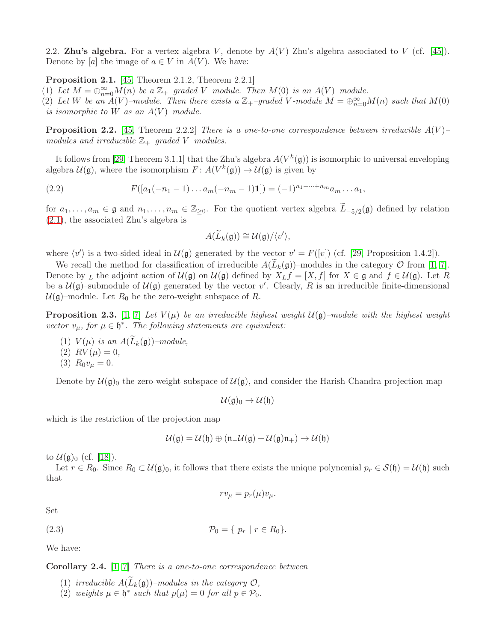2.2. **Zhu's algebra.** For a vertex algebra V, denote by  $A(V)$  Zhu's algebra associated to V (cf. [\[45\]](#page-26-9)). Denote by [a] the image of  $a \in V$  in  $A(V)$ . We have:

<span id="page-3-4"></span>Proposition 2.1. [\[45,](#page-26-9) Theorem 2.1.2, Theorem 2.2.1]

(1) Let  $M = \bigoplus_{n=0}^{\infty} M(n)$  be a  $\mathbb{Z}_{+}$ -graded V-module. Then  $M(0)$  is an  $A(V)$ -module.

(2) Let W be an  $A(V)$ -module. Then there exists a  $\mathbb{Z}_+$ -graded V-module  $M = \bigoplus_{n=0}^{\infty} M(n)$  such that  $M(0)$ is isomorphic to W as an  $A(V)$ -module.

**Proposition 2.2.** [\[45,](#page-26-9) Theorem 2.2.2] There is a one-to-one correspondence between irreducible  $A(V)$ modules and irreducible  $\mathbb{Z}_{+}$ -graded V-modules.

It follows from [\[29,](#page-26-0) Theorem 3.1.1] that the Zhu's algebra  $A(V^k(\mathfrak{g}))$  is isomorphic to universal enveloping algebra  $\mathcal{U}(\mathfrak{g})$ , where the isomorphism  $F: A(V^k(\mathfrak{g})) \to \mathcal{U}(\mathfrak{g})$  is given by

<span id="page-3-0"></span>(2.2) 
$$
F([a_1(-n_1-1)...a_m(-n_m-1)1]) = (-1)^{n_1+...+n_m}a_m...a_1,
$$

for  $a_1, \ldots, a_m \in \mathfrak{g}$  and  $n_1, \ldots, n_m \in \mathbb{Z}_{\geq 0}$ . For the quotient vertex algebra  $L_{-5/2}(\mathfrak{g})$  defined by relation [\(2.1\)](#page-2-1), the associated Zhu's algebra is

$$
A(\widetilde{L}_k(\mathfrak{g})) \cong \mathcal{U}(\mathfrak{g})/\langle v' \rangle,
$$

where  $\langle v' \rangle$  is a two-sided ideal in  $\mathcal{U}(\mathfrak{g})$  generated by the vector  $v' = F([v])$  (cf. [\[29,](#page-26-0) Proposition 1.4.2]).

We recall the method for classification of irreducible  $A(L_k(\mathfrak{g}))$ -modules in the category  $\mathcal O$  from [\[1,](#page-25-12) [7\]](#page-25-1). Denote by L the adjoint action of  $\mathcal{U}(\mathfrak{g})$  on  $\mathcal{U}(\mathfrak{g})$  defined by  $X_L f = [X, f]$  for  $X \in \mathfrak{g}$  and  $f \in \mathcal{U}(\mathfrak{g})$ . Let R be a  $\mathcal{U}(\mathfrak{g})$ -submodule of  $\mathcal{U}(\mathfrak{g})$  generated by the vector v'. Clearly, R is an irreducible finite-dimensional  $\mathcal{U}(\mathfrak{g})$ -module. Let  $R_0$  be the zero-weight subspace of R.

<span id="page-3-1"></span>**Proposition 2.3.** [\[1,](#page-25-12) [7\]](#page-25-1) Let  $V(\mu)$  be an irreducible highest weight  $U(\mathfrak{g})$ -module with the highest weight vector  $v_{\mu}$ , for  $\mu \in \mathfrak{h}^*$ . The following statements are equivalent:

(1)  $V(\mu)$  is an  $A(L_k(\mathfrak{g}))$ -module, (2)  $RV(\mu) = 0$ , (3)  $R_0v_\mu = 0$ .

Denote by  $\mathcal{U}(\mathfrak{g})_0$  the zero-weight subspace of  $\mathcal{U}(\mathfrak{g})$ , and consider the Harish-Chandra projection map

$$
\mathcal{U}(\mathfrak{g})_0 \to \mathcal{U}(\mathfrak{h})
$$

which is the restriction of the projection map

$$
\mathcal{U}(\mathfrak{g}) = \mathcal{U}(\mathfrak{h}) \oplus (\mathfrak{n} \_ \mathcal{U}(\mathfrak{g}) + \mathcal{U}(\mathfrak{g})\mathfrak{n}_+) \to \mathcal{U}(\mathfrak{h})
$$

to  $U(\mathfrak{g})_0$  (cf. [\[18\]](#page-25-14)).

Let  $r \in R_0$ . Since  $R_0 \subset \mathcal{U}(\mathfrak{g})_0$ , it follows that there exists the unique polynomial  $p_r \in \mathcal{S}(\mathfrak{h}) = \mathcal{U}(\mathfrak{h})$  such that

<span id="page-3-3"></span>
$$
rv_{\mu} = p_r(\mu)v_{\mu}.
$$

Set

$$
(2.3) \t\t\t \mathcal{P}_0 = \{ p_r \mid r \in R_0 \}.
$$

We have:

<span id="page-3-2"></span>Corollary 2.4. [\[1,](#page-25-12) [7\]](#page-25-1) There is a one-to-one correspondence between

- (1) irreducible  $A(L_k(\mathfrak{g}))$ -modules in the category  $\mathcal{O},$
- (2) weights  $\mu \in \mathfrak{h}^*$  such that  $p(\mu) = 0$  for all  $p \in \mathcal{P}_0$ .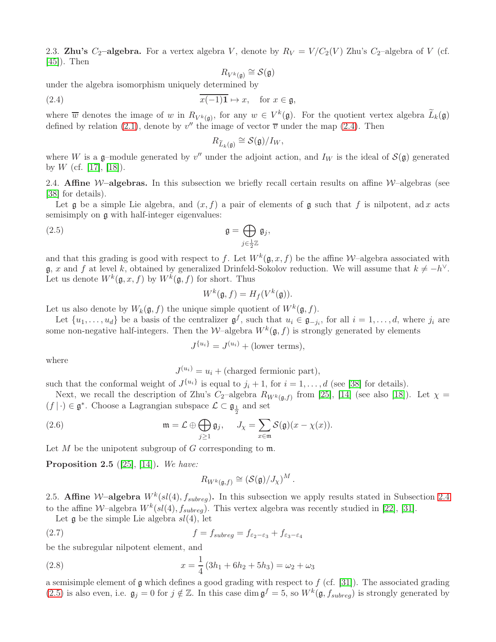<span id="page-4-3"></span>2.3. Zhu's  $C_2$ -algebra. For a vertex algebra V, denote by  $R_V = V/C_2(V)$  Zhu's  $C_2$ -algebra of V (cf. [\[45\]](#page-26-9)). Then

<span id="page-4-0"></span>
$$
R_{V^k(\mathfrak{g})}\cong\mathcal{S}(\mathfrak{g})
$$

under the algebra isomorphism uniquely determined by

(2.4) 
$$
\overline{x(-1)\mathbf{1}} \mapsto x, \quad \text{for } x \in \mathfrak{g},
$$

where  $\overline{w}$  denotes the image of w in  $R_{V^k(\mathfrak{g})}$ , for any  $w \in V^k(\mathfrak{g})$ . For the quotient vertex algebra  $\overline{L}_k(\mathfrak{g})$ defined by relation [\(2.1\)](#page-2-1), denote by  $v''$  the image of vector  $\overline{v}$  under the map [\(2.4\)](#page-4-0). Then

$$
R_{\widetilde{L}_k(\mathfrak{g})}\cong \mathcal{S}(\mathfrak{g})/I_W,
$$

where W is a g-module generated by  $v''$  under the adjoint action, and  $I_W$  is the ideal of  $\mathcal{S}(\mathfrak{g})$  generated by  $W$  (cf. [\[17\]](#page-25-4), [\[18\]](#page-25-14)).

<span id="page-4-1"></span>2.4. Affine  $W$ –algebras. In this subsection we briefly recall certain results on affine  $W$ –algebras (see [\[38\]](#page-26-8) for details).

Let  $\mathfrak g$  be a simple Lie algebra, and  $(x, f)$  a pair of elements of  $\mathfrak g$  such that f is nilpotent, ad x acts semisimply on g with half-integer eigenvalues:

(2.5) 
$$
\mathfrak{g} = \bigoplus_{j \in \frac{1}{2}\mathbb{Z}} \mathfrak{g}_j,
$$

and that this grading is good with respect to f. Let  $W^k(\mathfrak{g}, x, f)$  be the affine W-algebra associated with g, x and f at level k, obtained by generalized Drinfeld-Sokolov reduction. We will assume that  $k \neq -h^{\vee}$ . Let us denote  $W^k(\mathfrak{g},x,f)$  by  $W^k(\mathfrak{g},f)$  for short. Thus

<span id="page-4-2"></span>
$$
W^k(\mathfrak{g}, f) = H_f(V^k(\mathfrak{g})).
$$

Let us also denote by  $W_k(\mathfrak{g}, f)$  the unique simple quotient of  $W^k(\mathfrak{g}, f)$ .

Let  $\{u_1, \ldots, u_d\}$  be a basis of the centralizer  $\mathfrak{g}^f$ , such that  $u_i \in \mathfrak{g}_{-j_i}$ , for all  $i = 1, \ldots, d$ , where  $j_i$  are some non-negative half-integers. Then the W-algebra  $W^k(\mathfrak{g}, f)$  is strongly generated by elements

$$
J^{\{u_i\}} = J^{(u_i)} + (\text{lower terms}),
$$

where

<span id="page-4-6"></span>
$$
J^{(u_i)} = u_i + \text{(charged fermionic part)},
$$

such that the conformal weight of  $J^{\{u_i\}}$  is equal to  $j_i + 1$ , for  $i = 1, ..., d$  (see [\[38\]](#page-26-8) for details).

Next, we recall the description of Zhu's  $C_2$ -algebra  $R_{W^k(\mathfrak{g},f)}$  from [\[25\]](#page-25-18), [\[14\]](#page-25-19) (see also [\[18\]](#page-25-14)). Let  $\chi$  =  $(f | \cdot) \in \mathfrak{g}^*$ . Choose a Lagrangian subspace  $\mathcal{L} \subset \mathfrak{g}_{\frac{1}{2}}$  and set

(2.6) 
$$
\mathfrak{m} = \mathcal{L} \oplus \bigoplus_{j \geq 1} \mathfrak{g}_j, \quad J_{\chi} = \sum_{x \in \mathfrak{m}} \mathcal{S}(\mathfrak{g})(x - \chi(x)).
$$

Let  $M$  be the unipotent subgroup of  $G$  corresponding to  $m$ .

<span id="page-4-8"></span>**Proposition 2.5** ([\[25\]](#page-25-18), [\[14\]](#page-25-19)). We have:

<span id="page-4-5"></span><span id="page-4-4"></span>
$$
R_{W^k(\mathfrak{g},f)} \cong (\mathcal{S}(\mathfrak{g})/J_\chi)^M.
$$

<span id="page-4-7"></span>2.5. Affine W-algebra  $W^k(sl(4), f_{subreg})$ . In this subsection we apply results stated in Subsection [2.4](#page-4-1) to the affine W-algebra  $W^k(sl(4), f_{subreg})$ . This vertex algebra was recently studied in [\[22\]](#page-25-20), [\[31\]](#page-26-10).

Let  $\mathfrak g$  be the simple Lie algebra  $sl(4)$ , let

(2.7) 
$$
f = f_{subreg} = f_{\varepsilon_2 - \varepsilon_3} + f_{\varepsilon_3 - \varepsilon_4}
$$

be the subregular nilpotent element, and

(2.8) 
$$
x = \frac{1}{4} (3h_1 + 6h_2 + 5h_3) = \omega_2 + \omega_3
$$

a semisimple element of  $\mathfrak g$  which defines a good grading with respect to  $f$  (cf. [\[31\]](#page-26-10)). The associated grading [\(2.5\)](#page-4-2) is also even, i.e.  $\mathfrak{g}_j = 0$  for  $j \notin \mathbb{Z}$ . In this case dim  $\mathfrak{g}^f = 5$ , so  $W^k(\mathfrak{g}, f_{subreg})$  is strongly generated by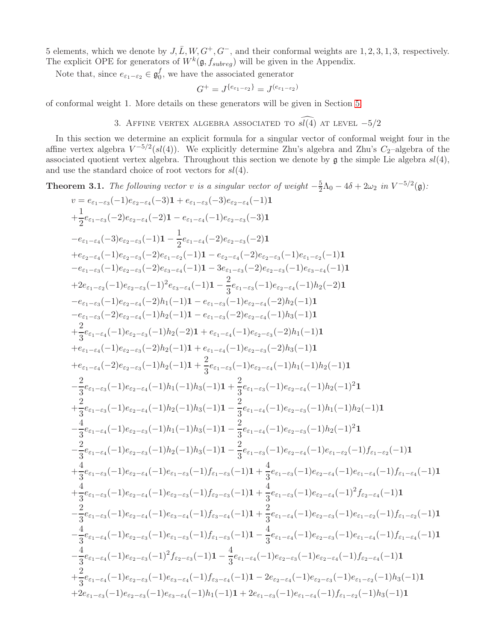5 elements, which we denote by  $J, \bar{L}, W, G^+, G^-$ , and their conformal weights are 1, 2, 3, 1, 3, respectively. The explicit OPE for generators of  $W^k(\mathfrak{g}, f_{subreg})$  will be given in the Appendix.

Note that, since  $e_{\varepsilon_1-\varepsilon_2} \in \mathfrak{g}^f_0$  $_0^J$ , we have the associated generator

$$
G^+ = J^{\{e_{\varepsilon_1 - \varepsilon_2}\}} = J^{(e_{\varepsilon_1 - \varepsilon_2})}
$$

<span id="page-5-1"></span>of conformal weight 1. More details on these generators will be given in Section [5.](#page-11-1)

3. AFFINE VERTEX ALGEBRA ASSOCIATED TO  $\widehat{sl(4)}$  at level  $-5/2$ 

In this section we determine an explicit formula for a singular vector of conformal weight four in the affine vertex algebra  $V^{-5/2}(sl(4))$ . We explicitly determine Zhu's algebra and Zhu's  $C_2$ -algebra of the associated quotient vertex algebra. Throughout this section we denote by  $\mathfrak g$  the simple Lie algebra  $sl(4)$ , and use the standard choice of root vectors for  $sl(4)$ .

<span id="page-5-0"></span>**Theorem 3.1.** The following vector v is a singular vector of weight  $-\frac{5}{2}\Lambda_0 - 4\delta + 2\omega_2$  in  $V^{-5/2}(\mathfrak{g})$ :

$$
v = e_{\varepsilon_1-\varepsilon_3}(-1)e_{\varepsilon_2-\varepsilon_4}(-3)1+e_{\varepsilon_1-\varepsilon_3}(-3)e_{\varepsilon_2-\varepsilon_4}(-1)1\\ +\dfrac{1}{2}e_{\varepsilon_1-\varepsilon_4}(-2)e_{\varepsilon_2-\varepsilon_4}(-2)1-e_{\varepsilon_1-\varepsilon_4}(-1)e_{\varepsilon_2-\varepsilon_4}(-2)1\\ -e_{\varepsilon_1-\varepsilon_4}(-3)e_{\varepsilon_2-\varepsilon_4}(-2)1-e_{\varepsilon_1-\varepsilon_4}(-2)e_{\varepsilon_2-\varepsilon_4}(-2)1\\ +e_{\varepsilon_2-\varepsilon_4}(-1)e_{\varepsilon_2-\varepsilon_3}(-2)e_{\varepsilon_1-\varepsilon_2}(-1)1-e_{\varepsilon_2-\varepsilon_4}(-2)e_{\varepsilon_2-\varepsilon_3}(-1)1\\ -e_{\varepsilon_1-\varepsilon_3}(-1)e_{\varepsilon_2-\varepsilon_3}(-2)e_{\varepsilon_3-\varepsilon_4}(-1)1-e_{\varepsilon_2-\varepsilon_3}(-2)e_{\varepsilon_2-\varepsilon_4}(-1)1\\ +2e_{\varepsilon_1-\varepsilon_2}(-1)e_{\varepsilon_2-\varepsilon_3}(-2)e_{\varepsilon_3-\varepsilon_4}(-1)1-e_{\varepsilon_2-\varepsilon_3}(-2)e_{\varepsilon_2-\varepsilon_4}(-1)h_2(-2)1\\ -e_{\varepsilon_1-\varepsilon_3}(-2)e_{\varepsilon_2-\varepsilon_4}(-1)h_2(-1)1-e_{\varepsilon_1-\varepsilon_3}(-1)e_{\varepsilon_2-\varepsilon_4}(-1)e_{\varepsilon_2-\varepsilon_4}(-1)h_2(-1)1\\ +\dfrac{2}{3}e_{\varepsilon_1-\varepsilon_4}(-1)e_{\varepsilon_2-\varepsilon_3}(-1)h_2(-2)1+e_{\varepsilon_1-\varepsilon_4}(-1)e_{\varepsilon_2-\varepsilon_3}(-2)h_1(-1)1\\ +\dfrac{2}{3}e_{\varepsilon_1-\varepsilon_4}(-1)e_{\varepsilon_2-\varepsilon_3}(-1)h_2(-1
$$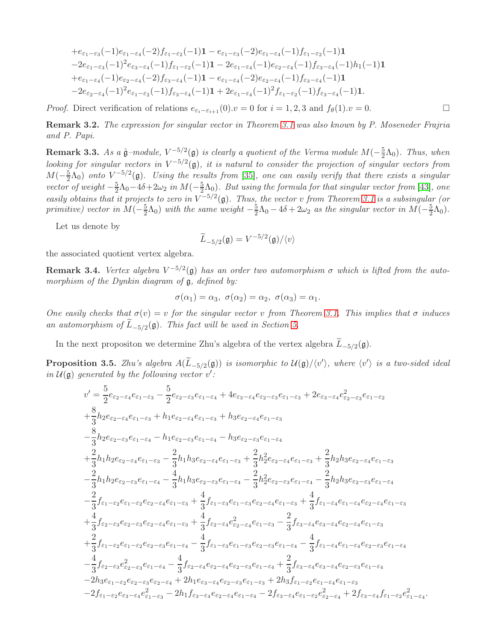$$
+e_{\varepsilon_1-\varepsilon_3}(-1)e_{\varepsilon_1-\varepsilon_4}(-2)f_{\varepsilon_1-\varepsilon_2}(-1)\mathbf{1}-e_{\varepsilon_1-\varepsilon_3}(-2)e_{\varepsilon_1-\varepsilon_4}(-1)f_{\varepsilon_1-\varepsilon_2}(-1)\mathbf{1}\\-2e_{\varepsilon_1-\varepsilon_3}(-1)^2e_{\varepsilon_3-\varepsilon_4}(-1)f_{\varepsilon_1-\varepsilon_2}(-1)\mathbf{1}-2e_{\varepsilon_1-\varepsilon_4}(-1)e_{\varepsilon_2-\varepsilon_4}(-1)f_{\varepsilon_3-\varepsilon_4}(-1)h_1(-1)\mathbf{1}\\+e_{\varepsilon_1-\varepsilon_4}(-1)e_{\varepsilon_2-\varepsilon_4}(-2)f_{\varepsilon_3-\varepsilon_4}(-1)\mathbf{1}-e_{\varepsilon_1-\varepsilon_4}(-2)e_{\varepsilon_2-\varepsilon_4}(-1)f_{\varepsilon_3-\varepsilon_4}(-1)\mathbf{1}\\-2e_{\varepsilon_2-\varepsilon_4}(-1)^2e_{\varepsilon_1-\varepsilon_2}(-1)f_{\varepsilon_3-\varepsilon_4}(-1)\mathbf{1}+2e_{\varepsilon_1-\varepsilon_4}(-1)^2f_{\varepsilon_1-\varepsilon_2}(-1)f_{\varepsilon_3-\varepsilon_4}(-1)\mathbf{1}.
$$

*Proof.* Direct verification of relations  $e_{\varepsilon_i-\varepsilon_{i+1}}(0).v = 0$  for  $i = 1, 2, 3$  and  $f_{\theta}(1).v = 0.$ 

Remark 3.2. The expression for singular vector in Theorem [3.1](#page-5-0) was also known by P. Moseneder Frajria and P. Papi.

**Remark 3.3.** As a  $\hat{\mathfrak{g}}$ -module,  $V^{-5/2}(\mathfrak{g})$  is clearly a quotient of the Verma module  $M(-\frac{5}{2}\Lambda_0)$ . Thus, when looking for singular vectors in  $V^{-5/2}(\mathfrak{g})$ , it is natural to consider the projection of singular vectors from  $M(-\frac{5}{2}\Lambda_0)$  onto  $V^{-5/2}(\mathfrak{g})$ . Using the results from [\[35\]](#page-26-11), one can easily verify that there exists a singular vector of weight  $-\frac{5}{2}\Lambda_0 - 4\delta + 2\omega_2$  in  $M(-\frac{5}{2}\Lambda_0)$ . But using the formula for that singular vector from [\[43\]](#page-26-12), one easily obtains that it projects to zero in  $V^{-5/2}(\mathfrak{g})$ . Thus, the vector v from Theorem [3.1](#page-5-0) is a subsingular (or primitive) vector in  $M(-\frac{5}{2}\Lambda_0)$  with the same weight  $-\frac{5}{2}\Lambda_0 - 4\delta + 2\omega_2$  as the singular vector in  $M(-\frac{5}{2}\Lambda_0)$ .

Let us denote by

$$
\widetilde{L}_{-5/2}(\mathfrak{g})=V^{-5/2}(\mathfrak{g})/\langle v \rangle
$$

the associated quotient vertex algebra.

<span id="page-6-1"></span>**Remark 3.4.** Vertex algebra  $V^{-5/2}(\mathfrak{g})$  has an order two automorphism  $\sigma$  which is lifted from the automorphism of the Dynkin diagram of  $\mathfrak g$ , defined by:

$$
\sigma(\alpha_1)=\alpha_3, \ \sigma(\alpha_2)=\alpha_2, \ \sigma(\alpha_3)=\alpha_1.
$$

One easily checks that  $\sigma(v) = v$  for the singular vector v from Theorem [3.1.](#page-5-0) This implies that  $\sigma$  induces an automorphism of  $L_{-5/2}(\mathfrak{g})$ . This fact will be used in Section [5.](#page-11-1)

In the next propositon we determine Zhu's algebra of the vertex algebra  $L_{-5/2}(\mathfrak{g})$ .

<span id="page-6-0"></span>**Proposition 3.5.** Zhu's algebra  $A(\tilde{L}_{-5/2}(\mathfrak{g}))$  is isomorphic to  $\mathcal{U}(\mathfrak{g})/\langle v'\rangle$ , where  $\langle v'\rangle$  is a two-sided ideal in  $\mathcal{U}(\mathfrak{g})$  generated by the following vector  $v'$ :

$$
v' = \frac{5}{2}e_{\varepsilon_2 - \varepsilon_4}e_{\varepsilon_1 - \varepsilon_3} - \frac{5}{2}e_{\varepsilon_2 - \varepsilon_3}e_{\varepsilon_1 - \varepsilon_4} + 4e_{\varepsilon_3 - \varepsilon_4}e_{\varepsilon_2 - \varepsilon_3}e_{\varepsilon_1 - \varepsilon_3} + 2e_{\varepsilon_3 - \varepsilon_4}e_{\varepsilon_2 - \varepsilon_3}e_{\varepsilon_1 - \varepsilon_2} + \frac{8}{3}h_2e_{\varepsilon_2 - \varepsilon_4}e_{\varepsilon_1 - \varepsilon_3} + h_1e_{\varepsilon_2 - \varepsilon_4}e_{\varepsilon_1 - \varepsilon_3} + h_3e_{\varepsilon_2 - \varepsilon_4}e_{\varepsilon_1 - \varepsilon_3} - \frac{8}{3}h_2e_{\varepsilon_2 - \varepsilon_3}e_{\varepsilon_1 - \varepsilon_4} - h_1e_{\varepsilon_2 - \varepsilon_3}e_{\varepsilon_1 - \varepsilon_4} - h_3e_{\varepsilon_2 - \varepsilon_3}e_{\varepsilon_1 - \varepsilon_4} + \frac{2}{3}h_1h_2e_{\varepsilon_2 - \varepsilon_4}e_{\varepsilon_1 - \varepsilon_3} - \frac{2}{3}h_1h_3e_{\varepsilon_2 - \varepsilon_4}e_{\varepsilon_1 - \varepsilon_3} + \frac{2}{3}h_2^2e_{\varepsilon_2 - \varepsilon_4}e_{\varepsilon_1 - \varepsilon_3} + \frac{2}{3}h_2h_3e_{\varepsilon_2 - \varepsilon_4}e_{\varepsilon_1 - \varepsilon_3} - \frac{2}{3}h_1h_2e_{\varepsilon_2 - \varepsilon_3}e_{\varepsilon_1 - \varepsilon_4} - \frac{4}{3}h_1h_3e_{\varepsilon_2 - \varepsilon_3}e_{\varepsilon_1 - \varepsilon_4} - \frac{2}{3}h_2^2e_{\varepsilon_2 - \varepsilon_3}e_{\varepsilon_1 - \varepsilon_4} - \frac{2}{3}h_2h_3
$$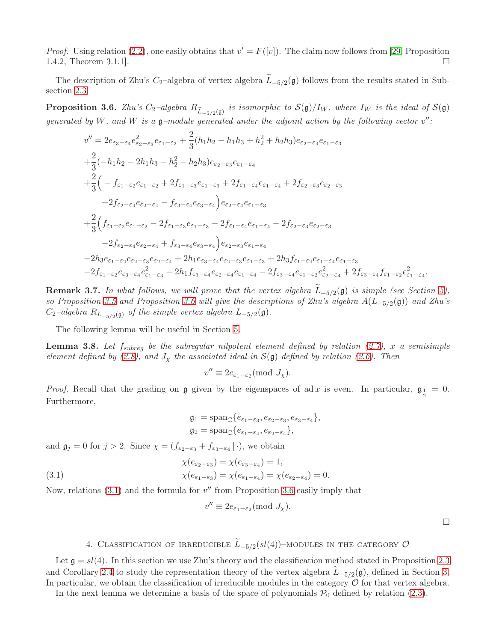*Proof.* Using relation [\(2.2\)](#page-3-0), one easily obtains that  $v' = F([v])$ . The claim now follows from [\[29,](#page-26-0) Proposition 1.4.2, Theorem 3.1.1.

The description of Zhu's  $C_2$ –algebra of vertex algebra  $L_{-5/2}(\mathfrak{g})$  follows from the results stated in Subsection [2.3.](#page-4-3)

<span id="page-7-0"></span>**Proposition 3.6.** Zhu's C<sub>2</sub>-algebra  $R_{\widetilde{L}_{-5/2}(\mathfrak{g})}$  is isomorphic to  $\mathcal{S}(\mathfrak{g})/I_W$ , where  $I_W$  is the ideal of  $\mathcal{S}(\mathfrak{g})$ generated by W, and W is a  $\mathfrak g$ -module generated under the adjoint action by the following vector  $v''$ :

$$
v'' = 2e_{\varepsilon_3 - \varepsilon_4}e_{\varepsilon_2 - \varepsilon_3}^2e_{\varepsilon_1 - \varepsilon_2} + \frac{2}{3}(h_1h_2 - h_1h_3 + h_2^2 + h_2h_3)e_{\varepsilon_2 - \varepsilon_4}e_{\varepsilon_1 - \varepsilon_3}
$$
  
+  $\frac{2}{3}(-h_1h_2 - 2h_1h_3 - h_2^2 - h_2h_3)e_{\varepsilon_2 - \varepsilon_3}e_{\varepsilon_1 - \varepsilon_4}$   
+  $\frac{2}{3}\left(-f_{\varepsilon_1 - \varepsilon_2}e_{\varepsilon_1 - \varepsilon_2} + 2f_{\varepsilon_1 - \varepsilon_3}e_{\varepsilon_1 - \varepsilon_3} + 2f_{\varepsilon_1 - \varepsilon_4}e_{\varepsilon_1 - \varepsilon_4} + 2f_{\varepsilon_2 - \varepsilon_3}e_{\varepsilon_2 - \varepsilon_3}$   
+  $2f_{\varepsilon_2 - \varepsilon_4}e_{\varepsilon_2 - \varepsilon_4} - f_{\varepsilon_3 - \varepsilon_4}e_{\varepsilon_3 - \varepsilon_4}\right)e_{\varepsilon_2 - \varepsilon_4}e_{\varepsilon_1 - \varepsilon_3}$   
+  $\frac{2}{3}\left(f_{\varepsilon_1 - \varepsilon_2}e_{\varepsilon_1 - \varepsilon_2} - 2f_{\varepsilon_1 - \varepsilon_3}e_{\varepsilon_1 - \varepsilon_3} - 2f_{\varepsilon_1 - \varepsilon_4}e_{\varepsilon_1 - \varepsilon_4} - 2f_{\varepsilon_2 - \varepsilon_3}e_{\varepsilon_2 - \varepsilon_3}$   
-  $2f_{\varepsilon_2 - \varepsilon_4}e_{\varepsilon_2 - \varepsilon_4} + f_{\varepsilon_3 - \varepsilon_4}e_{\varepsilon_3 - \varepsilon_4}\right)e_{\varepsilon_2 - \varepsilon_3}e_{\varepsilon_1 - \varepsilon_4}$   
-  $2h_3e_{\varepsilon_1 - \varepsilon_2}e_{\varepsilon_2 - \varepsilon_3}e_{\varepsilon$ 

**Remark 3.7.** In what follows, we will prove that the vertex algebra  $L_{-5/2}(\mathfrak{g})$  is simple (see Section [5\)](#page-11-1), so Proposition [3.5](#page-6-0) and Proposition [3.6](#page-7-0) will give the descriptions of Zhu's algebra  $A(L_{-5/2}(\mathfrak{g}))$  and Zhu's  $C_2$ -algebra  $R_{L_{-5/2}(\mathfrak{g})}$  of the simple vertex algebra  $L_{-5/2}(\mathfrak{g})$ .

The following lemma will be useful in Section [5.](#page-11-1)

<span id="page-7-2"></span>**Lemma 3.8.** Let  $f_{subreg}$  be the subregular nilpotent element defined by relation [\(2.7\)](#page-4-4), x a semisimple element defined by [\(2.8\)](#page-4-5), and  $J_{\chi}$  the associated ideal in  $\mathcal{S}(\mathfrak{g})$  defined by relation [\(2.6\)](#page-4-6). Then

$$
v'' \equiv 2e_{\varepsilon_1-\varepsilon_2} (\text{mod } J_\chi).
$$

*Proof.* Recall that the grading on  $\mathfrak g$  given by the eigenspaces of ad x is even. In particular,  $\mathfrak g_{\frac{1}{2}} = 0$ . Furthermore,

<span id="page-7-1"></span>
$$
\mathfrak{g}_1 = \text{span}_{\mathbb{C}}\{e_{\varepsilon_1-\varepsilon_3}, e_{\varepsilon_2-\varepsilon_3}, e_{\varepsilon_3-\varepsilon_4}\},
$$
  

$$
\mathfrak{g}_2 = \text{span}_{\mathbb{C}}\{e_{\varepsilon_1-\varepsilon_4}, e_{\varepsilon_2-\varepsilon_4}\},
$$

and  $\mathfrak{g}_j = 0$  for  $j > 2$ . Since  $\chi = (f_{\varepsilon_2 - \varepsilon_3} + f_{\varepsilon_3 - \varepsilon_4} | \cdot)$ , we obtain

(3.1) 
$$
\chi(e_{\varepsilon_2-\varepsilon_3}) = \chi(e_{\varepsilon_3-\varepsilon_4}) = 1,
$$

$$
\chi(e_{\varepsilon_1-\varepsilon_3}) = \chi(e_{\varepsilon_1-\varepsilon_4}) = \chi(e_{\varepsilon_2-\varepsilon_4}) = 0.
$$

Now, relations  $(3.1)$  and the formula for  $v''$  from Proposition [3.6](#page-7-0) easily imply that

$$
v'' \equiv 2e_{\varepsilon_1 - \varepsilon_2} \pmod{J_\chi}.
$$

 $\Box$ 

# 4. CLASSIFICATION OF IRREDUCIBLE  $L_{-5/2}(sl(4))$ -MODULES IN THE CATEGORY  $\mathcal O$

Let  $\mathfrak{g} = sl(4)$ . In this section we use Zhu's theory and the classification method stated in Proposition [2.3](#page-3-1) and Corollary [2.4](#page-3-2) to study the representation theory of the vertex algebra  $L_{-5/2}(\mathfrak{g})$ , defined in Section [3.](#page-5-1) In particular, we obtain the classification of irreducible modules in the category  $\mathcal O$  for that vertex algebra.

In the next lemma we determine a basis of the space of polynomials  $P_0$  defined by relation [\(2.3\)](#page-3-3).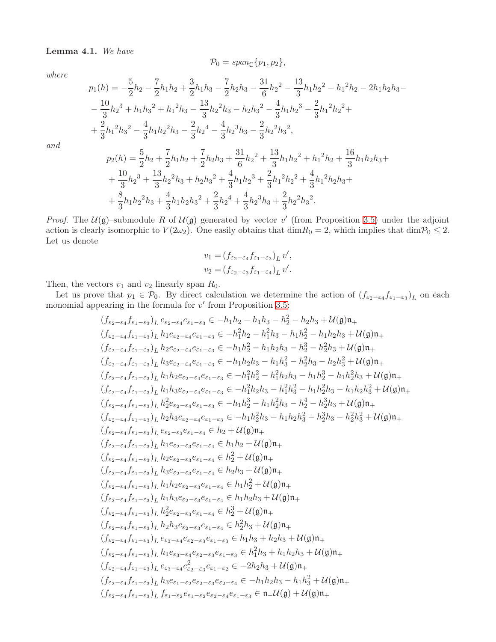<span id="page-8-0"></span>Lemma 4.1. We have

$$
\mathcal{P}_0 = \text{span}_{\mathbb{C}}\{p_1, p_2\},\
$$

where

$$
p_1(h) = -\frac{5}{2}h_2 - \frac{7}{2}h_1h_2 + \frac{3}{2}h_1h_3 - \frac{7}{2}h_2h_3 - \frac{31}{6}h_2^2 - \frac{13}{3}h_1h_2^2 - h_1^2h_2 - 2h_1h_2h_3 -
$$
  

$$
-\frac{10}{3}h_2^3 + h_1h_3^2 + h_1^2h_3 - \frac{13}{3}h_2^2h_3 - h_2h_3^2 - \frac{4}{3}h_1h_2^3 - \frac{2}{3}h_1^2h_2^2 +
$$
  

$$
+\frac{2}{3}h_1^2h_3^2 - \frac{4}{3}h_1h_2^2h_3 - \frac{2}{3}h_2^4 - \frac{4}{3}h_2^3h_3 - \frac{2}{3}h_2^2h_3^2,
$$

and

$$
p_2(h) = \frac{5}{2}h_2 + \frac{7}{2}h_1h_2 + \frac{7}{2}h_2h_3 + \frac{31}{6}h_2^2 + \frac{13}{3}h_1h_2^2 + h_1^2h_2 + \frac{16}{3}h_1h_2h_3 +
$$
  
+ 
$$
\frac{10}{3}h_2^3 + \frac{13}{3}h_2^2h_3 + h_2h_3^2 + \frac{4}{3}h_1h_2^3 + \frac{2}{3}h_1^2h_2^2 + \frac{4}{3}h_1^2h_2h_3 +
$$
  
+ 
$$
\frac{8}{3}h_1h_2^2h_3 + \frac{4}{3}h_1h_2h_3^2 + \frac{2}{3}h_2^4 + \frac{4}{3}h_2^3h_3 + \frac{2}{3}h_2^2h_3^2.
$$

*Proof.* The  $\mathcal{U}(\mathfrak{g})$ -submodule R of  $\mathcal{U}(\mathfrak{g})$  generated by vector v' (from Proposition [3.5\)](#page-6-0) under the adjoint action is clearly isomorphic to  $V(2\omega_2)$ . One easily obtains that  $\dim R_0 = 2$ , which implies that  $\dim \mathcal{P}_0 \leq 2$ . Let us denote

$$
v_1 = (f_{\varepsilon_2 - \varepsilon_4} f_{\varepsilon_1 - \varepsilon_3})_L v',
$$
  

$$
v_2 = (f_{\varepsilon_2 - \varepsilon_3} f_{\varepsilon_1 - \varepsilon_4})_L v'.
$$

Then, the vectors  $v_1$  and  $v_2$  linearly span  $R_0$ .

Let us prove that  $p_1 \in \mathcal{P}_0$ . By direct calculation we determine the action of  $(f_{\varepsilon_2-\varepsilon_4}f_{\varepsilon_1-\varepsilon_3})_L$  on each monomial appearing in the formula for  $v'$  from Proposition [3.5:](#page-6-0)

$$
(f_{\varepsilon_{2}-\varepsilon_{4}}f_{\varepsilon_{1}-\varepsilon_{3}})_{L}e_{\varepsilon_{2}-\varepsilon_{4}}e_{\varepsilon_{1}-\varepsilon_{3}} \in -h_{1}h_{2} - h_{1}h_{3} - h_{2}^{2} - h_{2}h_{3} + \mathcal{U}(\mathfrak{g})\mathfrak{n}_{+}
$$
\n
$$
(f_{\varepsilon_{2}-\varepsilon_{4}}f_{\varepsilon_{1}-\varepsilon_{3}})_{L} h_{1}e_{\varepsilon_{2}-\varepsilon_{4}}e_{\varepsilon_{1}-\varepsilon_{3}} \in -h_{1}^{2}h_{2} - h_{1}^{2}h_{3} - h_{1}h_{2}^{2} - h_{1}h_{2}h_{3} + \mathcal{U}(\mathfrak{g})\mathfrak{n}_{+}
$$
\n
$$
(f_{\varepsilon_{2}-\varepsilon_{4}}f_{\varepsilon_{1}-\varepsilon_{3}})_{L} h_{2}e_{\varepsilon_{2}-\varepsilon_{4}}e_{\varepsilon_{1}-\varepsilon_{3}} \in -h_{1}h_{2}^{2} - h_{1}h_{2}h_{3} - h_{2}^{3} - h_{2}^{2}h_{3} + \mathcal{U}(\mathfrak{g})\mathfrak{n}_{+}
$$
\n
$$
(f_{\varepsilon_{2}-\varepsilon_{4}}f_{\varepsilon_{1}-\varepsilon_{3}})_{L} h_{3}e_{\varepsilon_{2}-\varepsilon_{4}}e_{\varepsilon_{1}-\varepsilon_{3}} \in -h_{1}^{2}h_{2}^{2} - h_{1}^{2}h_{2}h_{3} - h_{2}h_{2}^{3} + \mathcal{U}(\mathfrak{g})\mathfrak{n}_{+}
$$
\n
$$
(f_{\varepsilon_{2}-\varepsilon_{4}}f_{\varepsilon_{1}-\varepsilon_{3}})_{L} h_{1}h_{2}e_{\varepsilon_{2}-\varepsilon_{4}}e_{\varepsilon_{1}-\varepsilon_{3}} \in -h_{1}^{2}h_{2}^{2} - h_{1}^{2}h_{2}h_{3} - h_{1}h_{2}^{2}h_{3} - h_{1}h_{2}^{2}h_{3} + \mathcal{U}(\mathfrak{g})\mathfrak{n}_{+}
$$
\n<math display="block</math>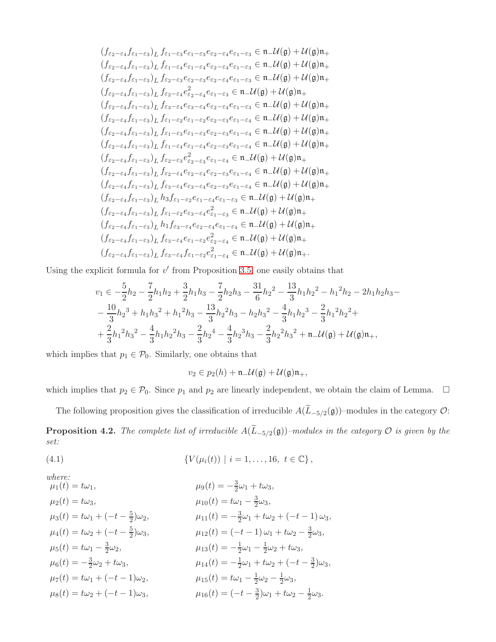$$
(f_{\varepsilon_{2}-\varepsilon_{4}}f_{\varepsilon_{1}-\varepsilon_{3}})_{L} f_{\varepsilon_{1}-\varepsilon_{3}} e_{\varepsilon_{1}-\varepsilon_{3}} e_{\varepsilon_{2}-\varepsilon_{4}} e_{\varepsilon_{1}-\varepsilon_{3}} \in n_{-} \mathcal{U}(\mathfrak{g}) + \mathcal{U}(\mathfrak{g}) n_{+}
$$
\n
$$
(f_{\varepsilon_{2}-\varepsilon_{4}}f_{\varepsilon_{1}-\varepsilon_{3}})_{L} f_{\varepsilon_{1}-\varepsilon_{4}} e_{\varepsilon_{2}-\varepsilon_{4}} e_{\varepsilon_{1}-\varepsilon_{3}} \in n_{-} \mathcal{U}(\mathfrak{g}) + \mathcal{U}(\mathfrak{g}) n_{+}
$$
\n
$$
(f_{\varepsilon_{2}-\varepsilon_{4}}f_{\varepsilon_{1}-\varepsilon_{3}})_{L} f_{\varepsilon_{2}-\varepsilon_{3}} e_{\varepsilon_{2}-\varepsilon_{4}} e_{\varepsilon_{1}-\varepsilon_{3}} \in n_{-} \mathcal{U}(\mathfrak{g}) + \mathcal{U}(\mathfrak{g}) n_{+}
$$
\n
$$
(f_{\varepsilon_{2}-\varepsilon_{4}}f_{\varepsilon_{1}-\varepsilon_{3}})_{L} f_{\varepsilon_{2}-\varepsilon_{4}} e_{\varepsilon_{2}-\varepsilon_{4}} e_{\varepsilon_{1}-\varepsilon_{3}} \in n_{-} \mathcal{U}(\mathfrak{g}) + \mathcal{U}(\mathfrak{g}) n_{+}
$$
\n
$$
(f_{\varepsilon_{2}-\varepsilon_{4}}f_{\varepsilon_{1}-\varepsilon_{3}})_{L} f_{\varepsilon_{1}-\varepsilon_{2}} e_{\varepsilon_{1}-\varepsilon_{2}} e_{\varepsilon_{2}-\varepsilon_{3}} e_{\varepsilon_{1}-\varepsilon_{4}} \in n_{-} \mathcal{U}(\mathfrak{g}) + \mathcal{U}(\mathfrak{g}) n_{+}
$$
\n
$$
(f_{\varepsilon_{2}-\varepsilon_{4}}f_{\varepsilon_{1}-\varepsilon_{3}})_{L} f_{\varepsilon_{1}-\varepsilon_{3}} e_{\varepsilon_{1}-\varepsilon_{2}} e_{\varepsilon_{2}-
$$

Using the explicit formula for  $v'$  from Proposition [3.5,](#page-6-0) one easily obtains that

$$
v_1 \in -\frac{5}{2}h_2 - \frac{7}{2}h_1h_2 + \frac{3}{2}h_1h_3 - \frac{7}{2}h_2h_3 - \frac{31}{6}h_2^2 - \frac{13}{3}h_1h_2^2 - h_1^2h_2 - 2h_1h_2h_3 -
$$
  

$$
-\frac{10}{3}h_2^3 + h_1h_3^2 + h_1^2h_3 - \frac{13}{3}h_2^2h_3 - h_2h_3^2 - \frac{4}{3}h_1h_2^3 - \frac{2}{3}h_1^2h_2^2 +
$$
  

$$
+\frac{2}{3}h_1^2h_3^2 - \frac{4}{3}h_1h_2^2h_3 - \frac{2}{3}h_2^4 - \frac{4}{3}h_2^3h_3 - \frac{2}{3}h_2^2h_3^2 + \mathfrak{n} - \mathcal{U}(\mathfrak{g}) + \mathcal{U}(\mathfrak{g})\mathfrak{n}_+,
$$

which implies that  $p_1 \in \mathcal{P}_0$ . Similarly, one obtains that

<span id="page-9-0"></span>
$$
v_2 \in p_2(h) + \mathfrak{n} \_ \mathcal{U}(\mathfrak{g}) + \mathcal{U}(\mathfrak{g})\mathfrak{n}_+,
$$

which implies that  $p_2 \in \mathcal{P}_0$ . Since  $p_1$  and  $p_2$  are linearly independent, we obtain the claim of Lemma.  $\Box$ 

The following proposition gives the classification of irreducible  $A(L_{-5/2}(\mathfrak{g}))$ -modules in the category  $\mathcal{O}$ :

<span id="page-9-1"></span>**Proposition 4.2.** The complete list of irreducible  $A(L_{-5/2}(\mathfrak{g}))$ -modules in the category  $\mathcal O$  is given by the set:

(4.1) 
$$
\{V(\mu_i(t)) \mid i = 1,\ldots,16, t \in \mathbb{C}\},
$$

where:  
\n
$$
\mu_1(t) = t\omega_1, \qquad \mu_9(t) = -\frac{3}{2}\omega_1 + t\omega_3,
$$
\n
$$
\mu_2(t) = t\omega_3, \qquad \mu_{10}(t) = t\omega_1 - \frac{3}{2}\omega_3,
$$
\n
$$
\mu_3(t) = t\omega_1 + (-t - \frac{5}{2})\omega_2, \qquad \mu_{11}(t) = -\frac{3}{2}\omega_1 + t\omega_2 + (-t - 1)\omega_3,
$$
\n
$$
\mu_4(t) = t\omega_2 + (-t - \frac{5}{2})\omega_3, \qquad \mu_{12}(t) = (-t - 1)\omega_1 + t\omega_2 - \frac{3}{2}\omega_3,
$$
\n
$$
\mu_5(t) = t\omega_1 - \frac{3}{2}\omega_2, \qquad \mu_{13}(t) = -\frac{1}{2}\omega_1 - \frac{1}{2}\omega_2 + t\omega_3,
$$
\n
$$
\mu_6(t) = -\frac{3}{2}\omega_2 + t\omega_3, \qquad \mu_{14}(t) = -\frac{1}{2}\omega_1 + t\omega_2 + (-t - \frac{3}{2})\omega_3,
$$
\n
$$
\mu_7(t) = t\omega_1 + (-t - 1)\omega_2, \qquad \mu_{15}(t) = t\omega_1 - \frac{1}{2}\omega_2 - \frac{1}{2}\omega_3,
$$
\n
$$
\mu_8(t) = t\omega_2 + (-t - 1)\omega_3, \qquad \mu_{16}(t) = (-t - \frac{3}{2})\omega_1 + t\omega_2 - \frac{1}{2}\omega_3.
$$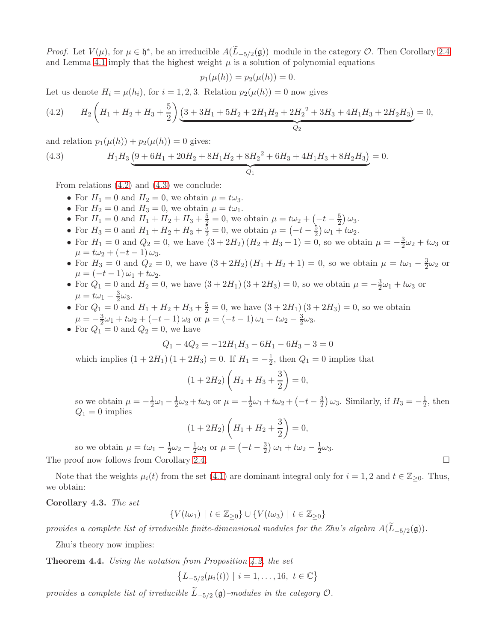*Proof.* Let  $V(\mu)$ , for  $\mu \in \mathfrak{h}^*$ , be an irreducible  $A(L_{-5/2}(\mathfrak{g}))$ -module in the category  $\mathcal{O}$ . Then Corollary [2.4](#page-3-2) and Lemma [4.1](#page-8-0) imply that the highest weight  $\mu$  is a solution of polynomial equations

$$
p_1(\mu(h)) = p_2(\mu(h)) = 0.
$$

Let us denote  $H_i = \mu(h_i)$ , for  $i = 1, 2, 3$ . Relation  $p_2(\mu(h)) = 0$  now gives

<span id="page-10-1"></span>(4.2) 
$$
H_2\left(H_1 + H_2 + H_3 + \frac{5}{2}\right) \underbrace{(3 + 3H_1 + 5H_2 + 2H_1H_2 + 2H_2^2 + 3H_3 + 4H_1H_3 + 2H_2H_3)}_{Q_2} = 0,
$$

and relation  $p_1(\mu(h)) + p_2(\mu(h)) = 0$  gives:

(4.3) 
$$
H_1H_3 \underbrace{(9+6H_1+20H_2+8H_1H_2+8H_2^2+6H_3+4H_1H_3+8H_2H_3)}_{Q_1} = 0.
$$

From relations [\(4.2\)](#page-10-1) and [\(4.3\)](#page-10-2) we conclude:

- <span id="page-10-2"></span>• For  $H_1 = 0$  and  $H_2 = 0$ , we obtain  $\mu = t\omega_3$ .
- For  $H_2 = 0$  and  $H_3 = 0$ , we obtain  $\mu = t\omega_1$ .
- For  $H_1 = 0$  and  $H_1 + H_2 + H_3 + \frac{5}{2} = 0$ , we obtain  $\mu = t\omega_2 + \left(-t \frac{5}{2}\right)$  $\frac{5}{2}$ )  $\omega_3$ .
- For  $H_3 = 0$  and  $H_1 + H_2 + H_3 + \frac{5}{2} = 0$ , we obtain  $\mu = \left(-t \frac{5}{2}\right)$  $(\frac{5}{2}) \omega_1 + t \omega_2.$
- For  $H_1 = 0$  and  $Q_2 = 0$ , we have  $(3 + 2H_2)(H_2 + H_3 + 1) = 0$ , so we obtain  $\mu = -\frac{3}{2}$  $\frac{3}{2}\omega_2 + t\omega_3$  or  $\mu = t\omega_2 + (-t-1)\omega_3.$
- For  $H_3 = 0$  and  $Q_2 = 0$ , we have  $(3 + 2H_2)(H_1 + H_2 + 1) = 0$ , so we obtain  $\mu = t\omega_1 \frac{3}{2}$  $\frac{3}{2}\omega_2$  or  $\mu = (-t-1)\omega_1 + t\omega_2.$
- For  $Q_1 = 0$  and  $H_2 = 0$ , we have  $(3 + 2H_1)(3 + 2H_3) = 0$ , so we obtain  $\mu = -\frac{3}{2}$  $\frac{3}{2}\omega_1 + t\omega_3$  or  $\mu = t\omega_1 - \frac{3}{2}$  $\frac{3}{2}\omega_3$ .
- For  $Q_1 = 0$  and  $H_1 + H_2 + H_3 + \frac{5}{2} = 0$ , we have  $(3 + 2H_1)(3 + 2H_3) = 0$ , so we obtain  $\mu = -\frac{3}{2}$  $\frac{3}{2}\omega_1 + t\omega_2 + (-t-1)\omega_3$  or  $\mu = (-t-1)\omega_1 + t\omega_2 - \frac{3}{2}$  $\frac{3}{2}\omega_3$ .
- For  $Q_1 = 0$  and  $Q_2 = 0$ , we have

$$
Q_1 - 4Q_2 = -12H_1H_3 - 6H_1 - 6H_3 - 3 = 0
$$

which implies  $(1 + 2H_1)(1 + 2H_3) = 0$ . If  $H_1 = -\frac{1}{2}$  $\frac{1}{2}$ , then  $Q_1 = 0$  implies that

$$
(1+2H_2)\left(H_2+H_3+\frac{3}{2}\right)=0,
$$

so we obtain  $\mu = -\frac{1}{2}$  $rac{1}{2}\omega_1-\frac{1}{2}$  $\frac{1}{2}\omega_2 + t\omega_3$  or  $\mu = -\frac{1}{2}$  $\frac{1}{2}\omega_1 + t\omega_2 + \left(-t - \frac{3}{2}\right)$  $\frac{3}{2}$ )  $\omega_3$ . Similarly, if  $H_3 = -\frac{1}{2}$  $\frac{1}{2}$ , then  $Q_1 = 0$  implies

$$
(1+2H_2)\left(H_1+H_2+\frac{3}{2}\right)=0,
$$

so we obtain  $\mu = t\omega_1 - \frac{1}{2}$  $rac{1}{2}\omega_2-\frac{1}{2}$  $\frac{1}{2}\omega_3$  or  $\mu = \left(-t - \frac{3}{2}\right)$  $\frac{3}{2}$ )  $\omega_1 + t\omega_2 - \frac{1}{2}$  $rac{1}{2}\omega_3$ . The proof now follows from Corollary [2.4.](#page-3-2)

Note that the weights  $\mu_i(t)$  from the set [\(4.1\)](#page-9-0) are dominant integral only for  $i = 1, 2$  and  $t \in \mathbb{Z}_{\geq 0}$ . Thus, we obtain:

#### Corollary 4.3. The set

$$
\{V(t\omega_1) \mid t \in \mathbb{Z}_{\geq 0}\} \cup \{V(t\omega_3) \mid t \in \mathbb{Z}_{\geq 0}\}\
$$

provides a complete list of irreducible finite-dimensional modules for the Zhu's algebra  $A(L_{-5/2}(\mathfrak{g}))$ .

Zhu's theory now implies:

<span id="page-10-0"></span>**Theorem 4.4.** Using the notation from Proposition  $4.2$ , the set

$$
\big\{L_{-5/2}(\mu_i(t))\,\,|\,\,i=1,\ldots,16,\,\,t\in\mathbb{C}\big\}
$$

provides a complete list of irreducible  $L_{-5/2}(\mathfrak{g})$ -modules in the category  $\mathcal{O}$ .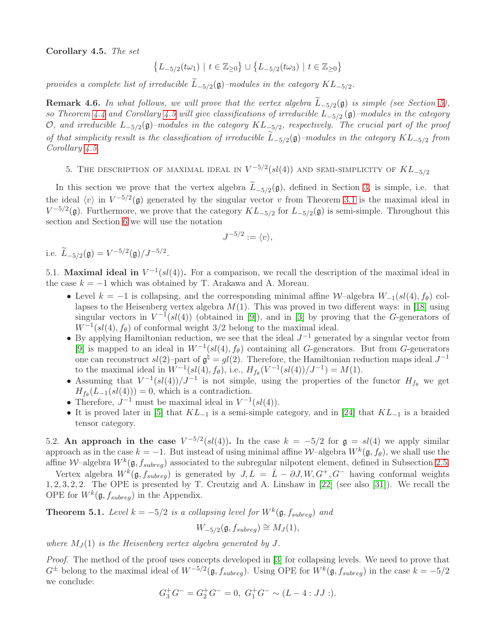<span id="page-11-2"></span>Corollary 4.5. The set

$$
\left\{L_{-5/2}(t\omega_1)\ |\ t\in\mathbb{Z}_{\geq 0}\right\}\cup\left\{L_{-5/2}(t\omega_3)\ |\ t\in\mathbb{Z}_{\geq 0}\right\}
$$

provides a complete list of irreducible  $L_{-5/2}(\mathfrak{g})$ -modules in the category  $KL_{-5/2}$ .

<span id="page-11-4"></span>**Remark 4.6.** In what follows, we will prove that the vertex algebra  $L_{-5/2}(\mathfrak{g})$  is simple (see Section [5\)](#page-11-1), so Theorem [4.4](#page-10-0) and Corollary [4.5](#page-11-2) will give classifications of irreducible  $L_{-5/2}(\mathfrak{g})$ -modules in the category  $\mathcal{O}$ , and irreducible  $L_{-5/2}(\mathfrak{g})$ -modules in the category  $KL_{-5/2}$ , respectively. The crucial part of the proof of that simplicity result is the classification of irreducible  $L_{-5/2}(\mathfrak{g})$ -modules in the category  $KL_{-5/2}$  from Corollary [4.5.](#page-11-2)

# <span id="page-11-1"></span>5. THE DESCRIPTION OF MAXIMAL IDEAL IN  $V^{-5/2}(sl(4))$  and semi-simplicity of  $KL_{-5/2}$

In this section we prove that the vertex algebra  $L_{-5/2}(\mathfrak{g})$ , defined in Section [3,](#page-5-1) is simple, i.e. that the ideal  $\langle v \rangle$  in  $V^{-5/2}(\mathfrak{g})$  generated by the singular vector v from Theorem [3.1](#page-5-0) is the maximal ideal in  $V^{-5/2}(\mathfrak{g})$ . Furthermore, we prove that the category  $KL_{-5/2}$  for  $L_{-5/2}(\mathfrak{g})$  is semi-simple. Throughout this section and Section [6](#page-13-0) we will use the notation

$$
J^{-5/2} := \langle v \rangle,
$$

i.e.  $\widetilde{L}_{-5/2}(\mathfrak{g}) = V^{-5/2}(\mathfrak{g})/J^{-5/2}$ .

<span id="page-11-0"></span>5.1. **Maximal ideal in**  $V^{-1}(sl(4))$ . For a comparison, we recall the description of the maximal ideal in the case  $k = -1$  which was obtained by T. Arakawa and A. Moreau.

- Level  $k = -1$  is collapsing, and the corresponding minimal affine W–algebra  $W_{-1}(sl(4), f_{\theta})$  collapses to the Heisenberg vertex algebra  $M(1)$ . This was proved in two different ways: in [\[18\]](#page-25-14) using singular vectors in  $V^{-1}(sl(4))$  (obtained in [\[9\]](#page-25-13)), and in [\[3\]](#page-25-21) by proving that the G-generators of  $W^{-1}(sl(4), f_{\theta})$  of conformal weight 3/2 belong to the maximal ideal.
- By applying Hamiltonian reduction, we see that the ideal  $J^{-1}$  generated by a singular vector from [\[9\]](#page-25-13) is mapped to an ideal in  $W^{-1}(sl(4), f_{\theta})$  containing all G-generators. But from G-generators one can reconstruct  $sl(2)$ -part of  $\mathfrak{g}^{\natural} = gl(2)$ . Therefore, the Hamiltonian reduction maps ideal  $J^{-1}$ to the maximal ideal in  $W^{-1}(sl(4), f_{\theta})$ , i.e.,  $H_{f_{\theta}}(V^{-1}(sl(4))/J^{-1}) = M(1)$ .
- Assuming that  $V^{-1}(sl(4))/J^{-1}$  is not simple, using the properties of the functor  $H_{f_{\theta}}$  we get  $H_{f_{\theta}}(L_{-1}(sl(4)))=0$ , which is a contradiction.
- Therefore,  $J^{-1}$  must be maximal ideal in  $V^{-1}(sl(4))$ .
- It is proved later in [\[5\]](#page-25-5) that  $KL_{-1}$  is a semi-simple category, and in [\[24\]](#page-25-9) that  $KL_{-1}$  is a braided tensor category.

5.2. An approach in the case  $V^{-5/2}(sl(4))$ . In the case  $k = -5/2$  for  $\mathfrak{g} = sl(4)$  we apply similar approach as in the case  $k = -1$ . But instead of using minimal affine W–algebra  $W^k(\mathfrak{g}, f_{\theta})$ , we shall use the affine W-algebra  $W^k(\mathfrak{g}, f_{subreg})$  associated to the subregular nilpotent element, defined in Subsection [2.5.](#page-4-7)

Vertex algebra  $W^k(\mathfrak{g}, f_{subreg})$  is generated by  $J, L = \overline{L} - \partial J, W, G^+, G^-$  having conformal weights 1, 2, 3, 2, 2. The OPE is presented by T. Creutzig and A. Linshaw in [\[22\]](#page-25-20) (see also [\[31\]](#page-26-10)). We recall the OPE for  $W^k(\mathfrak{g}, f_{subreg})$  in the Appendix.

<span id="page-11-3"></span>**Theorem 5.1.** Level  $k = -5/2$  is a collapsing level for  $W^k(\mathfrak{g}, f_{subreg})$  and

$$
W_{-5/2}(\mathfrak{g}, f_{subreg}) \cong M_J(1),
$$

where  $M_J(1)$  is the Heisenberg vertex algebra generated by J.

Proof. The method of the proof uses concepts developed in [\[3\]](#page-25-21) for collapsing levels. We need to prove that  $G^{\pm}$  belong to the maximal ideal of  $W^{-5/2}(\mathfrak{g}, f_{subreg})$ . Using OPE for  $W^k(\mathfrak{g}, f_{subreg})$  in the case  $k = -5/2$ we conclude:

$$
G_3^+G^- = G_2^+G^- = 0, \ G_1^+G^- \sim (L - 4 : JJ :).
$$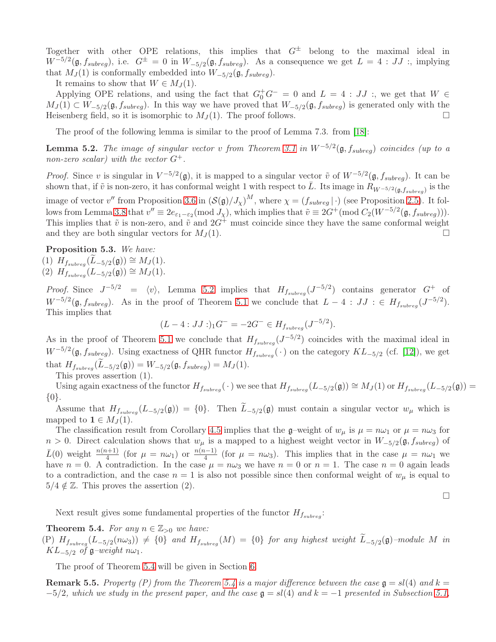Together with other OPE relations, this implies that  $G^{\pm}$  belong to the maximal ideal in  $W^{-5/2}(\mathfrak{g}, f_{subreg})$ , i.e.  $G^{\pm} = 0$  in  $W_{-5/2}(\mathfrak{g}, f_{subreg})$ . As a consequence we get  $L = 4 : JJ$  :, implying that  $M_J(1)$  is conformally embedded into  $W_{-5/2}(\mathfrak{g}, f_{subreg})$ .

It remains to show that  $W \in M_J(1)$ .

Applying OPE relations, and using the fact that  $G_0^+G^- = 0$  and  $L = 4 : JJ$  :, we get that  $W \in$  $M_J(1) \subset W_{-5/2}(\mathfrak{g}, f_{subreg})$ . In this way we have proved that  $W_{-5/2}(\mathfrak{g}, f_{subreg})$  is generated only with the Heisenberg field, so it is isomorphic to  $M_J(1)$ . The proof follows.

The proof of the following lemma is similar to the proof of Lemma 7.3. from [\[18\]](#page-25-14):

<span id="page-12-1"></span>**Lemma 5.2.** The image of singular vector v from Theorem [3.1](#page-5-0) in  $W^{-5/2}(\mathfrak{g}, f_{subreg})$  coincides (up to a non-zero scalar) with the vector  $G^+$ .

*Proof.* Since v is singular in  $V^{-5/2}(\mathfrak{g})$ , it is mapped to a singular vector  $\tilde{v}$  of  $W^{-5/2}(\mathfrak{g}, f_{subreg})$ . It can be shown that, if  $\tilde{v}$  is non-zero, it has conformal weight 1 with respect to  $\bar{L}$ . Its image in  $R_{W^{-5/2}(\mathfrak{g},f_{subreg})}$  is the image of vector  $v''$  from Proposition [3.6](#page-7-0) in  $(\mathcal{S}(\mathfrak{g})/J_{\chi})^M$ , where  $\chi = (f_{subreg}|\cdot)$  (see Proposition [2.5\)](#page-4-8). It fol-lows from Lemma [3.8](#page-7-2) that  $v'' \equiv 2e_{\varepsilon_1-\varepsilon_2}(\text{mod }J_\chi)$ , which implies that  $\tilde{v} \equiv 2G^+(\text{mod }C_2(W^{-5/2}(\mathfrak{g},f_{subreg}))).$ This implies that  $\tilde{v}$  is non-zero, and  $\tilde{v}$  and  $2G^+$  must coincide since they have the same conformal weight and they are both singular vectors for  $M_I(1)$ .

<span id="page-12-2"></span>Proposition 5.3. We have: (1)  $H_{f_{subreg}}(\widetilde{L}_{-5/2}(\mathfrak{g})) \cong M_J(1).$ 

(2)  $H_{fsubreg}(L_{-5/2}(\mathfrak{g})) \cong M_J(1).$ 

*Proof.* Since  $J^{-5/2} = \langle v \rangle$ , Lemma [5.2](#page-12-1) implies that  $H_{f_{subreg}}(J^{-5/2})$  contains generator  $G^+$  of  $W^{-5/2}(\mathfrak{g}, f_{subreg})$ . As in the proof of Theorem [5.1](#page-11-3) we conclude that  $L-4: JJ: \in H_{f_{subreg}}(J^{-5/2})$ . This implies that

$$
(L-4:JJ:)_{1}G^{-} = -2G^{-} \in H_{f_{subreg}}(J^{-5/2}).
$$

As in the proof of Theorem [5.1](#page-11-3) we conclude that  $H_{f_{subreg}}(J^{-5/2})$  coincides with the maximal ideal in  $W^{-5/2}(\mathfrak{g}, f_{subreg})$ . Using exactness of QHR functor  $H_{f_{subreg}}(\cdot)$  on the category  $KL_{-5/2}$  (cf. [\[12\]](#page-25-22)), we get that  $H_{f_{subreg}}(L_{-5/2}(\mathfrak{g})) = W_{-5/2}(\mathfrak{g}, f_{subreg}) = M_J(1)$ .

This proves assertion (1).

Using again exactness of the functor  $H_{f_{subreg}}(\cdot)$  we see that  $H_{f_{subreg}}(L_{-5/2}(\mathfrak{g})) \cong M_J(1)$  or  $H_{f_{subreg}}(L_{-5/2}(\mathfrak{g})) =$  $\{0\}.$ 

Assume that  $H_{f_{subreg}}(L_{-5/2}(\mathfrak{g})) = \{0\}$ . Then  $L_{-5/2}(\mathfrak{g})$  must contain a singular vector  $w_{\mu}$  which is mapped to  $\mathbf{1} \in M_I(1)$ .

The classification result from Corollary [4.5](#page-11-2) implies that the g–weight of  $w_{\mu}$  is  $\mu = n\omega_1$  or  $\mu = n\omega_3$  for  $n > 0$ . Direct calculation shows that  $w_{\mu}$  is a mapped to a highest weight vector in  $W_{-5/2}(\mathfrak{g}, f_{subreg})$  of  $\bar{L}(0)$  weight  $\frac{n(n+1)}{4}$  (for  $\mu = n\omega_1$ ) or  $\frac{n(n-1)}{4}$  (for  $\mu = n\omega_3$ ). This implies that in the case  $\mu = n\omega_1$  we have  $n = 0$ . A contradiction. In the case  $\mu = n\omega_3$  we have  $n = 0$  or  $n = 1$ . The case  $n = 0$  again leads to a contradiction, and the case  $n = 1$  is also not possible since then conformal weight of  $w_{\mu}$  is equal to  $5/4 \notin \mathbb{Z}$ . This proves the assertion (2).

 $\Box$ 

Next result gives some fundamental properties of the functor  $H_{f_{subref}}$ :

<span id="page-12-0"></span>**Theorem 5.4.** For any  $n \in \mathbb{Z}_{>0}$  we have:

(P)  $H_{f_{subreg}}(L_{-5/2}(n\omega_3)) \neq \{0\}$  and  $H_{f_{subreg}}(M) = \{0\}$  for any highest weight  $L_{-5/2}(\mathfrak{g})$ -module M in  $KL_{-5/2}$  of  $\mathfrak{g}-weight \ n\omega_1$ .

The proof of Theorem [5.4](#page-12-0) will be given in Section [6.](#page-13-0)

**Remark 5.5.** Property (P) from the Theorem [5.4](#page-12-0) is a major difference between the case  $\mathfrak{g} = sl(4)$  and  $k =$  $-5/2$ , which we study in the present paper, and the case  $\mathfrak{g} = sl(4)$  and  $k = -1$  presented in Subsection [5.1,](#page-11-0)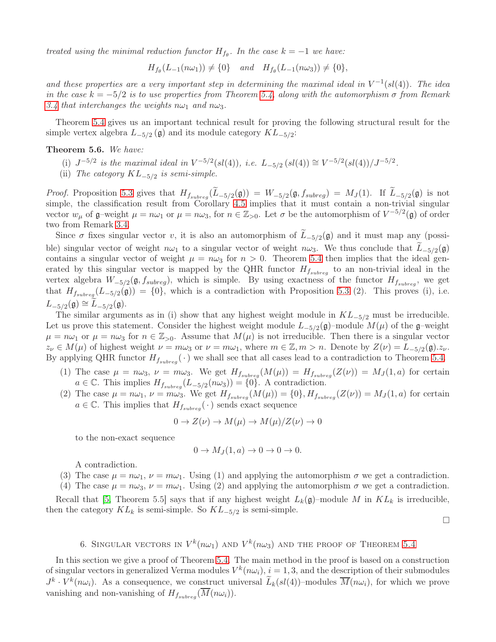treated using the minimal reduction functor  $H_{f_{\theta}}$ . In the case  $k = -1$  we have:

 $H_{f_{\theta}}(L_{-1}(n\omega_1)) \neq \{0\}$  and  $H_{f_{\theta}}(L_{-1}(n\omega_3)) \neq \{0\},$ 

and these properties are a very important step in determining the maximal ideal in  $V^{-1}(sl(4))$ . The idea in the case  $k = -5/2$  is to use properties from Theorem [5.4,](#page-12-0) along with the automorphism  $\sigma$  from Remark [3.4](#page-6-1) that interchanges the weights  $n\omega_1$  and  $n\omega_3$ .

Theorem [5.4](#page-12-0) gives us an important technical result for proving the following structural result for the simple vertex algebra  $L_{-5/2}(\mathfrak{g})$  and its module category  $KL_{-5/2}$ :

<span id="page-13-1"></span>Theorem 5.6. We have:

- (i)  $J^{-5/2}$  is the maximal ideal in  $V^{-5/2}(sl(4))$ , i.e.  $L_{-5/2}(sl(4)) \cong V^{-5/2}(sl(4))/J^{-5/2}$ .
- (ii) The category  $KL_{-5/2}$  is semi-simple.

*Proof.* Proposition [5.3](#page-12-2) gives that  $H_{f_{subreg}}(L_{-5/2}(\mathfrak{g})) = W_{-5/2}(\mathfrak{g}, f_{subreg}) = M_J(1)$ . If  $L_{-5/2}(\mathfrak{g})$  is not simple, the classification result from Corollary [4.5](#page-11-2) implies that it must contain a non-trivial singular vector  $w_{\mu}$  of  $\mathfrak{g}$ -weight  $\mu = n\omega_1$  or  $\mu = n\omega_3$ , for  $n \in \mathbb{Z}_{>0}$ . Let  $\sigma$  be the automorphism of  $V^{-5/2}(\mathfrak{g})$  of order two from Remark [3.4.](#page-6-1)

Since  $\sigma$  fixes singular vector v, it is also an automorphism of  $L_{-5/2}(\mathfrak{g})$  and it must map any (possible) singular vector of weight  $n\omega_1$  to a singular vector of weight  $n\omega_3$ . We thus conclude that  $L_{-5/2}(\mathfrak{g})$ contains a singular vector of weight  $\mu = n\omega_3$  for  $n > 0$ . Theorem [5.4](#page-12-0) then implies that the ideal generated by this singular vector is mapped by the QHR functor  $H_{f_{subreg}}$  to an non-trivial ideal in the vertex algebra  $W_{-5/2}(\mathfrak{g}, f_{subreg})$ , which is simple. By using exactness of the functor  $H_{f_{subreg}}$ , we get that  $H_{f_{subreg}}(L_{-5/2}(\mathfrak{g})) = \{0\}$ , which is a contradiction with Proposition [5.3](#page-12-2) (2). This proves (i), i.e.  $L_{-5/2}(\mathfrak{g}) \cong \widetilde{L}_{-5/2}(\mathfrak{g}).$ 

The similar arguments as in (i) show that any highest weight module in  $KL_{-5/2}$  must be irreducible. Let us prove this statement. Consider the highest weight module  $L_{-5/2}(\mathfrak{g})$ -module  $M(\mu)$  of the  $\mathfrak{g}$ -weight  $\mu = n\omega_1$  or  $\mu = n\omega_3$  for  $n \in \mathbb{Z}_{>0}$ . Assume that  $M(\mu)$  is not irreducible. Then there is a singular vector  $z_{\nu} \in M(\mu)$  of highest weight  $\nu = m\omega_3$  or  $\nu = m\omega_1$ , where  $m \in \mathbb{Z}, m > n$ . Denote by  $Z(\nu) = L_{-5/2}(\mathfrak{g}).z_{\nu}$ . By applying QHR functor  $H_{f_{subreg}}(\cdot)$  we shall see that all cases lead to a contradiction to Theorem [5.4.](#page-12-0)

- (1) The case  $\mu = n\omega_3$ ,  $\nu = m\omega_3$ . We get  $H_{f_{subreg}}(M(\mu)) = H_{f_{subreg}}(Z(\nu)) = M_J(1, a)$  for certain  $a \in \mathbb{C}$ . This implies  $H_{f_{subreg}}(L_{-5/2}(n\omega_3)) = \{0\}$ . A contradiction.
- (2) The case  $\mu = n\omega_1$ ,  $\nu = m\omega_3$ . We get  $H_{f_{subreg}}(M(\mu)) = \{0\}$ ,  $H_{f_{subreg}}(Z(\nu)) = M_J(1, a)$  for certain  $a \in \mathbb{C}$ . This implies that  $H_{f_{subreq}}(\cdot)$  sends exact sequence

$$
0 \to Z(\nu) \to M(\mu) \to M(\mu)/Z(\nu) \to 0
$$

to the non-exact sequence

$$
0 \to M_J(1, a) \to 0 \to 0 \to 0.
$$

A contradiction.

(3) The case  $\mu = n\omega_1$ ,  $\nu = m\omega_1$ . Using (1) and applying the automorphism  $\sigma$  we get a contradiction.

(4) The case  $\mu = n\omega_3$ ,  $\nu = m\omega_1$ . Using (2) and applying the automorphism  $\sigma$  we get a contradiction.

Recall that [\[5,](#page-25-5) Theorem 5.5] says that if any highest weight  $L_k(\mathfrak{g})$ –module M in  $KL_k$  is irreducible, then the category  $KL_k$  is semi-simple. So  $KL_{-5/2}$  is semi-simple.

 $\Box$ 

# 6. SINGULAR VECTORS IN  $V^k(n\omega_1)$  and  $V^k(n\omega_3)$  and the proof of Theorem [5.4](#page-12-0)

<span id="page-13-0"></span>In this section we give a proof of Theorem [5.4.](#page-12-0) The main method in the proof is based on a construction of singular vectors in generalized Verma modules  $V^k(n\omega_i)$ ,  $i = 1, 3$ , and the description of their submodules  $J^k \cdot V^k(n\omega_i)$ . As a consequence, we construct universal  $\tilde{L}_k(sl(4))$ -modules  $\overline{M}(n\omega_i)$ , for which we prove vanishing and non-vanishing of  $H_{f_{subreq}}(\overline{M}(n\omega_i)).$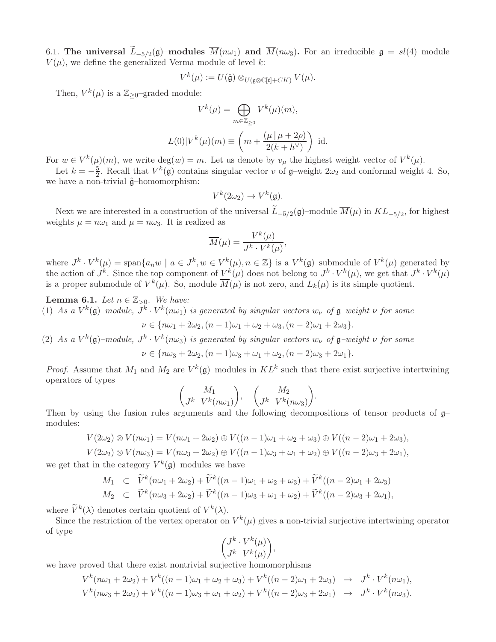6.1. The universal  $L_{-5/2}(\mathfrak{g})$ -modules  $\overline{M}(n\omega_1)$  and  $\overline{M}(n\omega_3)$ . For an irreducible  $\mathfrak{g} = sl(4)$ -module  $V(\mu)$ , we define the generalized Verma module of level k:

$$
V^k(\mu) := U(\hat{\mathfrak{g}}) \otimes_{U(\mathfrak{g} \otimes \mathbb{C}[t]+CK)} V(\mu).
$$

Then,  $V^k(\mu)$  is a  $\mathbb{Z}_{\geq 0}$ -graded module:

$$
V^{k}(\mu) = \bigoplus_{m \in \mathbb{Z}_{\geq 0}} V^{k}(\mu)(m),
$$
  

$$
L(0)|V^{k}(\mu)(m) \equiv \left(m + \frac{(\mu | \mu + 2\rho)}{2(k + h^{\vee})}\right) \text{ id.}
$$

For  $w \in V^k(\mu)(m)$ , we write  $\deg(w) = m$ . Let us denote by  $v_\mu$  the highest weight vector of  $V^k(\mu)$ .

Let  $k = -\frac{5}{2}$ . Recall that  $V^k(\mathfrak{g})$  contains singular vector v of  $\mathfrak{g}$ -weight  $2\omega_2$  and conformal weight 4. So, we have a non-trivial  $\hat{\mathfrak{g}}$ -homomorphism:

$$
V^k(2\omega_2) \to V^k(\mathfrak{g}).
$$

Next we are interested in a construction of the universal  $L_{-5/2}(\mathfrak{g})$ -module  $M(\mu)$  in  $KL_{-5/2}$ , for highest weights  $\mu = n\omega_1$  and  $\mu = n\omega_3$ . It is realized as

$$
\overline{M}(\mu) = \frac{V^k(\mu)}{J^k \cdot V^k(\mu)},
$$

where  $J^k \cdot V^k(\mu) = \text{span}\{a_n w \mid a \in J^k, w \in V^k(\mu), n \in \mathbb{Z}\}\$ is a  $V^k(\mathfrak{g})$ -submodule of  $V^k(\mu)$  generated by the action of  $J^k$ . Since the top component of  $V^k(\mu)$  does not belong to  $J^k \cdot V^k(\mu)$ , we get that  $J^k \cdot V^k(\mu)$ is a proper submodule of  $V^k(\mu)$ . So, module  $\overline{M}(\mu)$  is not zero, and  $L_k(\mu)$  is its simple quotient.

**Lemma 6.1.** Let  $n \in \mathbb{Z}_{>0}$ . We have: (1) As a  $V^k(\mathfrak{g})$ -module,  $J^k \cdot V^k(n\omega_1)$  is generated by singular vectors  $w_\nu$  of  $\mathfrak{g}$ -weight  $\nu$  for some

$$
\nu \in \{n\omega_1 + 2\omega_2, (n-1)\omega_1 + \omega_2 + \omega_3, (n-2)\omega_1 + 2\omega_3\}.
$$

(2) As a  $V^k(\mathfrak{g})$ -module,  $J^k \cdot V^k(n\omega_3)$  is generated by singular vectors  $w_\nu$  of  $\mathfrak{g}$ -weight  $\nu$  for some

 $\nu \in \{n\omega_3 + 2\omega_2, (n-1)\omega_3 + \omega_1 + \omega_2, (n-2)\omega_3 + 2\omega_1\}.$ 

*Proof.* Assume that  $M_1$  and  $M_2$  are  $V^k(\mathfrak{g})$ -modules in  $KL^k$  such that there exist surjective intertwining operators of types

$$
\binom{M_1}{J^k\ V^k(n\omega_1)},\ \ \binom{M_2}{J^k\ V^k(n\omega_3)}.
$$

Then by using the fusion rules arguments and the following decompositions of tensor products of  $\mathfrak{g}$ modules:

$$
V(2\omega_2) \otimes V(n\omega_1) = V(n\omega_1 + 2\omega_2) \oplus V((n-1)\omega_1 + \omega_2 + \omega_3) \oplus V((n-2)\omega_1 + 2\omega_3),
$$
  

$$
V(2\omega_2) \otimes V(n\omega_3) = V(n\omega_3 + 2\omega_2) \oplus V((n-1)\omega_3 + \omega_1 + \omega_2) \oplus V((n-2)\omega_3 + 2\omega_1),
$$

we get that in the category  $V^k(\mathfrak{g})$ -modules we have

$$
M_1 \quad \subset \quad \widetilde{V}^k(n\omega_1 + 2\omega_2) + \widetilde{V}^k((n-1)\omega_1 + \omega_2 + \omega_3) + \widetilde{V}^k((n-2)\omega_1 + 2\omega_3) \nM_2 \quad \subset \quad \widetilde{V}^k(n\omega_3 + 2\omega_2) + \widetilde{V}^k((n-1)\omega_3 + \omega_1 + \omega_2) + \widetilde{V}^k((n-2)\omega_3 + 2\omega_1),
$$

where  $\widetilde{V}^k(\lambda)$  denotes certain quotient of  $V^k(\lambda)$ .

Since the restriction of the vertex operator on  $V^k(\mu)$  gives a non-trivial surjective intertwining operator of type

$$
\binom{J^k \cdot V^k(\mu)}{J^k \ V^k(\mu)},
$$

we have proved that there exist nontrivial surjective homomorphisms

$$
V^k(n\omega_1 + 2\omega_2) + V^k((n-1)\omega_1 + \omega_2 + \omega_3) + V^k((n-2)\omega_1 + 2\omega_3) \rightarrow J^k \cdot V^k(n\omega_1),
$$
  
\n
$$
V^k(n\omega_3 + 2\omega_2) + V^k((n-1)\omega_3 + \omega_1 + \omega_2) + V^k((n-2)\omega_3 + 2\omega_1) \rightarrow J^k \cdot V^k(n\omega_3).
$$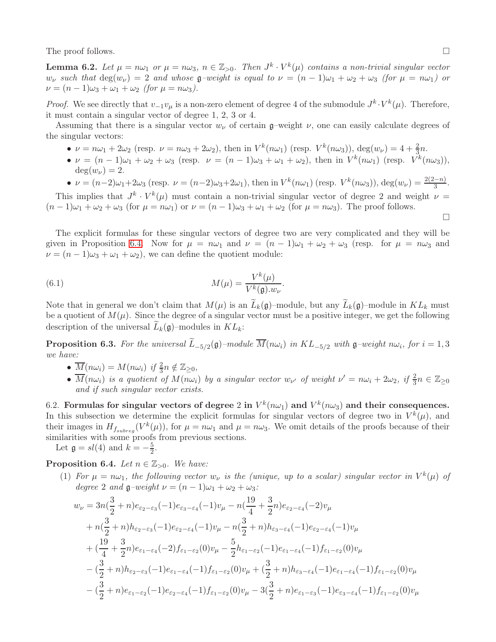The proof follows.  $\Box$ 

**Lemma 6.2.** Let  $\mu = n\omega_1$  or  $\mu = n\omega_3$ ,  $n \in \mathbb{Z}_{>0}$ . Then  $J^k \cdot V^k(\mu)$  contains a non-trivial singular vector  $w_{\nu}$  such that  $deg(w_{\nu}) = 2$  and whose  $\mathfrak{g}-weight$  is equal to  $\nu = (n-1)\omega_1 + \omega_2 + \omega_3$  (for  $\mu = n\omega_1$ ) or  $\nu = (n-1)\omega_3 + \omega_1 + \omega_2$  (for  $\mu = n\omega_3$ ).

*Proof.* We see directly that  $v_{-1}v_{\mu}$  is a non-zero element of degree 4 of the submodule  $J^k \cdot V^k(\mu)$ . Therefore, it must contain a singular vector of degree 1, 2, 3 or 4.

Assuming that there is a singular vector  $w_{\nu}$  of certain  $\mathfrak{g}-$ weight  $\nu$ , one can easily calculate degrees of the singular vectors:

- $\nu = n\omega_1 + 2\omega_2$  (resp.  $\nu = n\omega_3 + 2\omega_2$ ), then in  $V^k(n\omega_1)$  (resp.  $V^k(n\omega_3)$ ),  $\deg(w_\nu) = 4 + \frac{2}{3}n$ .
- $\nu = (n-1)\omega_1 + \omega_2 + \omega_3$  (resp.  $\nu = (n-1)\omega_3 + \omega_1 + \omega_2$ ), then in  $V^k(n\omega_1)$  (resp.  $V^k(n\omega_3)$ ),  $\deg(w_{\nu}) = 2.$
- $\nu = (n-2)\omega_1 + 2\omega_3$  (resp.  $\nu = (n-2)\omega_3 + 2\omega_1$ ), then in  $V^k(n\omega_1)$  (resp.  $V^k(n\omega_3)$ ),  $\deg(w_\nu) = \frac{2(2-n)}{3}$ .

This implies that  $J^k \cdot V^k(\mu)$  must contain a non-trivial singular vector of degree 2 and weight  $\nu =$  $(n-1)\omega_1 + \omega_2 + \omega_3$  (for  $\mu = n\omega_1$ ) or  $\nu = (n-1)\omega_3 + \omega_1 + \omega_2$  (for  $\mu = n\omega_3$ ). The proof follows.  $\Box$ 

The explicit formulas for these singular vectors of degree two are very complicated and they will be given in Proposition [6.4.](#page-15-0) Now for  $\mu = n\omega_1$  and  $\nu = (n-1)\omega_1 + \omega_2 + \omega_3$  (resp. for  $\mu = n\omega_3$  and  $\nu = (n-1)\omega_3 + \omega_1 + \omega_2$ , we can define the quotient module:

(6.1) 
$$
M(\mu) = \frac{V^k(\mu)}{V^k(\mathfrak{g}).w_{\nu}}.
$$

Note that in general we don't claim that  $M(\mu)$  is an  $L_k(\mathfrak{g})$ -module, but any  $L_k(\mathfrak{g})$ -module in  $KL_k$  must be a quotient of  $M(\mu)$ . Since the degree of a singular vector must be a positive integer, we get the following description of the universal  $L_k(\mathfrak{g})$ -modules in  $KL_k$ :

**Proposition 6.3.** For the universal  $L_{-5/2}(\mathfrak{g})$ -module  $M(n\omega_i)$  in  $KL_{-5/2}$  with  $\mathfrak{g}$ -weight  $n\omega_i$ , for  $i=1,3$ we have:

- $\overline{M}(n\omega_i) = M(n\omega_i)$  if  $\frac{2}{3}n \notin \mathbb{Z}_{\geq 0}$ ,
- $\overline{M}(n\omega_i)$  is a quotient of  $M(n\omega_i)$  by a singular vector  $w_{\nu'}$  of weight  $\nu' = n\omega_i + 2\omega_2$ , if  $\frac{2}{3}n \in \mathbb{Z}_{\geq 0}$ and if such singular vector exists.

<span id="page-15-1"></span>6.2. Formulas for singular vectors of degree 2 in  $V^k(n\omega_1)$  and  $V^k(n\omega_3)$  and their consequences. In this subsection we determine the explicit formulas for singular vectors of degree two in  $V^k(\mu)$ , and their images in  $H_{f_{subreg}}(V^k(\mu))$ , for  $\mu = n\omega_1$  and  $\mu = n\omega_3$ . We omit details of the proofs because of their similarities with some proofs from previous sections.

Let  $\mathfrak{g} = sl(4)$  and  $k = -\frac{5}{2}$ .

<span id="page-15-0"></span>**Proposition 6.4.** Let  $n \in \mathbb{Z}_{>0}$ . We have:

(1) For  $\mu = n\omega_1$ , the following vector  $w_{\nu}$  is the (unique, up to a scalar) singular vector in  $V^k(\mu)$  of degree 2 and  $\mathfrak{g}-weight \nu = (n-1)\omega_1 + \omega_2 + \omega_3$ :

$$
w_{\nu} = 3n(\frac{3}{2} + n)e_{\varepsilon_2 - \varepsilon_3}(-1)e_{\varepsilon_3 - \varepsilon_4}(-1)v_{\mu} - n(\frac{19}{4} + \frac{3}{2}n)e_{\varepsilon_2 - \varepsilon_4}(-2)v_{\mu}
$$
  
+  $n(\frac{3}{2} + n)h_{\varepsilon_2 - \varepsilon_3}(-1)e_{\varepsilon_2 - \varepsilon_4}(-1)v_{\mu} - n(\frac{3}{2} + n)h_{\varepsilon_3 - \varepsilon_4}(-1)e_{\varepsilon_2 - \varepsilon_4}(-1)v_{\mu}$   
+  $(\frac{19}{4} + \frac{3}{2}n)e_{\varepsilon_1 - \varepsilon_4}(-2)f_{\varepsilon_1 - \varepsilon_2}(0)v_{\mu} - \frac{5}{2}h_{\varepsilon_1 - \varepsilon_2}(-1)e_{\varepsilon_1 - \varepsilon_4}(-1)f_{\varepsilon_1 - \varepsilon_2}(0)v_{\mu}$   
-  $(\frac{3}{2} + n)h_{\varepsilon_2 - \varepsilon_3}(-1)e_{\varepsilon_1 - \varepsilon_4}(-1)f_{\varepsilon_1 - \varepsilon_2}(0)v_{\mu} + (\frac{3}{2} + n)h_{\varepsilon_3 - \varepsilon_4}(-1)e_{\varepsilon_1 - \varepsilon_4}(-1)f_{\varepsilon_1 - \varepsilon_2}(0)v_{\mu}$   
-  $(\frac{3}{2} + n)e_{\varepsilon_1 - \varepsilon_2}(-1)e_{\varepsilon_2 - \varepsilon_4}(-1)f_{\varepsilon_1 - \varepsilon_2}(0)v_{\mu} - 3(\frac{3}{2} + n)e_{\varepsilon_1 - \varepsilon_3}(-1)e_{\varepsilon_3 - \varepsilon_4}(-1)f_{\varepsilon_1 - \varepsilon_2}(0)v_{\mu}$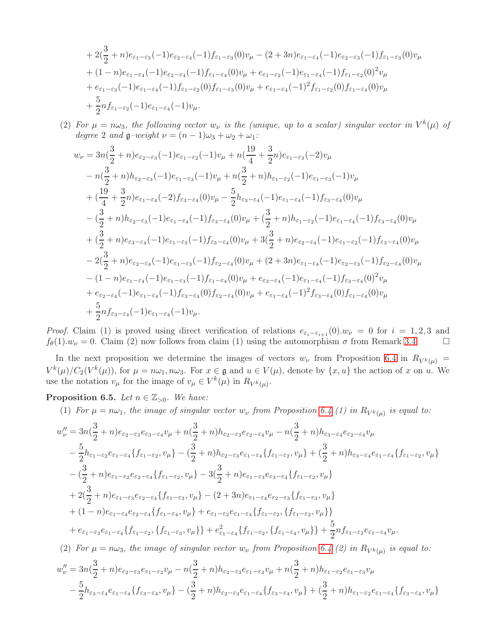+ 
$$
2(\frac{3}{2} + n)e_{\epsilon_1-\epsilon_3}(-1)e_{\epsilon_2-\epsilon_4}(-1)f_{\epsilon_1-\epsilon_3}(0)v_{\mu} - (2+3n)e_{\epsilon_1-\epsilon_4}(-1)e_{\epsilon_2-\epsilon_3}(-1)f_{\epsilon_1-\epsilon_3}(0)v_{\mu}
$$
  
+  $(1-n)e_{\epsilon_1-\epsilon_4}(-1)e_{\epsilon_2-\epsilon_4}(-1)f_{\epsilon_1-\epsilon_4}(0)v_{\mu} + e_{\epsilon_1-\epsilon_2}(-1)e_{\epsilon_1-\epsilon_4}(-1)f_{\epsilon_1-\epsilon_2}(0)^2v_{\mu}$   
+  $e_{\epsilon_1-\epsilon_3}(-1)e_{\epsilon_1-\epsilon_4}(-1)f_{\epsilon_1-\epsilon_2}(0)f_{\epsilon_1-\epsilon_3}(0)v_{\mu} + e_{\epsilon_1-\epsilon_4}(-1)^2f_{\epsilon_1-\epsilon_2}(0)f_{\epsilon_1-\epsilon_4}(0)v_{\mu}$   
+  $\frac{5}{2}nf_{\epsilon_1-\epsilon_2}(-1)e_{\epsilon_1-\epsilon_4}(-1)v_{\mu}$ .

(2) For  $\mu = n\omega_3$ , the following vector  $w_{\nu}$  is the (unique, up to a scalar) singular vector in  $V^k(\mu)$  of degree 2 and  $\mathfrak{g}-weight \nu = (n-1)\omega_3 + \omega_2 + \omega_1$ :

$$
w_{\nu} = 3n(\frac{3}{2} + n)e_{\epsilon_2-\epsilon_3}(-1)e_{\epsilon_1-\epsilon_2}(-1)v_{\mu} + n(\frac{19}{4} + \frac{3}{2}n)e_{\epsilon_1-\epsilon_3}(-2)v_{\mu}
$$
  
\n
$$
- n(\frac{3}{2} + n)h_{\epsilon_2-\epsilon_3}(-1)e_{\epsilon_1-\epsilon_3}(-1)v_{\mu} + n(\frac{3}{2} + n)h_{\epsilon_1-\epsilon_2}(-1)e_{\epsilon_1-\epsilon_3}(-1)v_{\mu}
$$
  
\n
$$
+ (\frac{19}{4} + \frac{3}{2}n)e_{\epsilon_1-\epsilon_4}(-2)f_{\epsilon_3-\epsilon_4}(0)v_{\mu} - \frac{5}{2}h_{\epsilon_3-\epsilon_4}(-1)e_{\epsilon_1-\epsilon_4}(-1)f_{\epsilon_3-\epsilon_4}(0)v_{\mu}
$$
  
\n
$$
- (\frac{3}{2} + n)h_{\epsilon_2-\epsilon_3}(-1)e_{\epsilon_1-\epsilon_4}(-1)f_{\epsilon_3-\epsilon_4}(0)v_{\mu} + (\frac{3}{2} + n)h_{\epsilon_1-\epsilon_2}(-1)e_{\epsilon_1-\epsilon_4}(-1)f_{\epsilon_3-\epsilon_4}(0)v_{\mu}
$$
  
\n
$$
+ (\frac{3}{2} + n)e_{\epsilon_3-\epsilon_4}(-1)e_{\epsilon_1-\epsilon_3}(-1)f_{\epsilon_3-\epsilon_4}(0)v_{\mu} + 3(\frac{3}{2} + n)e_{\epsilon_2-\epsilon_4}(-1)e_{\epsilon_1-\epsilon_2}(-1)f_{\epsilon_3-\epsilon_4}(0)v_{\mu}
$$
  
\n
$$
- 2(\frac{3}{2} + n)e_{\epsilon_2-\epsilon_4}(-1)e_{\epsilon_1-\epsilon_3}(-1)f_{\epsilon_2-\epsilon_4}(0)v_{\mu} + (2 + 3n)e_{\epsilon_1-\epsilon_4}(-1)e_{\epsilon_2-\epsilon_3}(-1)f_{\epsilon_2-\epsilon_4}(0)v_{\mu}
$$
  
\n
$$
- (1 - n)e_{\epsilon_1-\epsilon_4}(-1)e_{\epsilon_1-\epsilon_3}(-1)f_{\epsilon_3-\epsilon_4}(0)v_{\mu} + e_{\epsilon_3-\epsilon_4}(-1)e_{\epsilon_1-\epsilon_4}(-1)f_{\epsilon_3-\epsilon_4}(0)v_{\mu}
$$
  
\n<math display="</math>

*Proof.* Claim (1) is proved using direct verification of relations  $e_{\varepsilon_i-\varepsilon_{i+1}}(0).w_\nu = 0$  for  $i = 1,2,3$  and  $f_{\theta}(1).w_{\nu} = 0.$  Claim (2) now follows from claim (1) using the automorphism  $\sigma$  from Remark [3.4.](#page-6-1)

In the next proposition we determine the images of vectors  $w_{\nu}$  from Proposition [6.4](#page-15-0) in  $R_{V^{k}(\mu)} =$  $V^k(\mu)/C_2(V^k(\mu))$ , for  $\mu = n\omega_1, n\omega_3$ . For  $x \in \mathfrak{g}$  and  $u \in V(\mu)$ , denote by  $\{x, u\}$  the action of x on u. We use the notation  $v_{\mu}$  for the image of  $v_{\mu} \in V^{k}(\mu)$  in  $R_{V^{k}(\mu)}$ .

### **Proposition 6.5.** Let  $n \in \mathbb{Z}_{>0}$ . We have:

(1) For  $\mu = n\omega_1$ , the image of singular vector  $w_{\nu}$  from Proposition [6.4](#page-15-0) (1) in  $R_{V^{k}(\mu)}$  is equal to:

$$
w''_{\nu} = 3n(\frac{3}{2} + n)e_{\epsilon_2-\epsilon_3}e_{\epsilon_3-\epsilon_4}v_{\mu} + n(\frac{3}{2} + n)h_{\epsilon_2-\epsilon_3}e_{\epsilon_2-\epsilon_4}v_{\mu} - n(\frac{3}{2} + n)h_{\epsilon_3-\epsilon_4}e_{\epsilon_2-\epsilon_4}v_{\mu}
$$
  
\n
$$
-\frac{5}{2}h_{\epsilon_1-\epsilon_2}e_{\epsilon_1-\epsilon_4}\{f_{\epsilon_1-\epsilon_2},v_{\mu}\} - (\frac{3}{2} + n)h_{\epsilon_2-\epsilon_3}e_{\epsilon_1-\epsilon_4}\{f_{\epsilon_1-\epsilon_2},v_{\mu}\} + (\frac{3}{2} + n)h_{\epsilon_3-\epsilon_4}e_{\epsilon_1-\epsilon_4}\{f_{\epsilon_1-\epsilon_2},v_{\mu}\}
$$
  
\n
$$
-(\frac{3}{2} + n)e_{\epsilon_1-\epsilon_2}e_{\epsilon_2-\epsilon_4}\{f_{\epsilon_1-\epsilon_2},v_{\mu}\} - 3(\frac{3}{2} + n)e_{\epsilon_1-\epsilon_3}e_{\epsilon_3-\epsilon_4}\{f_{\epsilon_1-\epsilon_2},v_{\mu}\}
$$
  
\n
$$
+ 2(\frac{3}{2} + n)e_{\epsilon_1-\epsilon_3}e_{\epsilon_2-\epsilon_4}\{f_{\epsilon_1-\epsilon_3},v_{\mu}\} - (2 + 3n)e_{\epsilon_1-\epsilon_4}e_{\epsilon_2-\epsilon_3}\{f_{\epsilon_1-\epsilon_3},v_{\mu}\}
$$
  
\n
$$
+(1 - n)e_{\epsilon_1-\epsilon_4}e_{\epsilon_2-\epsilon_4}\{f_{\epsilon_1-\epsilon_4},v_{\mu}\} + e_{\epsilon_1-\epsilon_2}e_{\epsilon_1-\epsilon_4}\{f_{\epsilon_1-\epsilon_2},\{f_{\epsilon_1-\epsilon_2},v_{\mu}\}\}
$$
  
\n
$$
+ e_{\epsilon_1-\epsilon_3}e_{\epsilon_1-\epsilon_4}\{f_{\epsilon_1-\epsilon_2},\{f_{\epsilon_1-\epsilon_3},v_{\mu}\}\} + e_{\epsilon_1-\epsilon_4}^2\{f_{\epsilon_1-\epsilon_2},\{f_{\epsilon_1-\epsilon_4},v_{\mu}\}\} + \frac{5}{2}nf_{\epsilon_1-\epsilon_2}e_{\epsilon_1-\epsilon_4
$$

(2) For  $\mu = n\omega_3$ , the image of singular vector  $w_{\nu}$  from Proposition [6.4](#page-15-0) (2) in  $R_{V^k(\mu)}$  is equal to:

$$
w''_{\nu} = 3n(\frac{3}{2} + n)e_{\varepsilon_2 - \varepsilon_3}e_{\varepsilon_1 - \varepsilon_2}v_{\mu} - n(\frac{3}{2} + n)h_{\varepsilon_2 - \varepsilon_3}e_{\varepsilon_1 - \varepsilon_3}v_{\mu} + n(\frac{3}{2} + n)h_{\varepsilon_1 - \varepsilon_2}e_{\varepsilon_1 - \varepsilon_3}v_{\mu}
$$

$$
-\frac{5}{2}h_{\varepsilon_3 - \varepsilon_4}e_{\varepsilon_1 - \varepsilon_4}\lbrace f_{\varepsilon_3 - \varepsilon_4}, v_{\mu}\rbrace - (\frac{3}{2} + n)h_{\varepsilon_2 - \varepsilon_3}e_{\varepsilon_1 - \varepsilon_4}\lbrace f_{\varepsilon_3 - \varepsilon_4}, v_{\mu}\rbrace + (\frac{3}{2} + n)h_{\varepsilon_1 - \varepsilon_2}e_{\varepsilon_1 - \varepsilon_4}\lbrace f_{\varepsilon_3 - \varepsilon_4}, v_{\mu}\rbrace
$$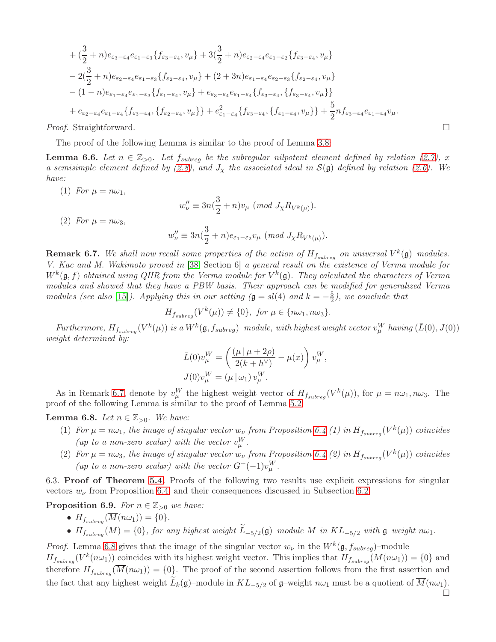+
$$
(\frac{3}{2} + n)e_{\varepsilon_3-\varepsilon_4}e_{\varepsilon_1-\varepsilon_3}\lbrace f_{\varepsilon_3-\varepsilon_4}, v_\mu\rbrace
$$
+ $3(\frac{3}{2} + n)e_{\varepsilon_2-\varepsilon_4}e_{\varepsilon_1-\varepsilon_2}\lbrace f_{\varepsilon_3-\varepsilon_4}, v_\mu\rbrace$   
\n- $2(\frac{3}{2} + n)e_{\varepsilon_2-\varepsilon_4}e_{\varepsilon_1-\varepsilon_3}\lbrace f_{\varepsilon_2-\varepsilon_4}, v_\mu\rbrace$ + $(2+3n)e_{\varepsilon_1-\varepsilon_4}e_{\varepsilon_2-\varepsilon_3}\lbrace f_{\varepsilon_2-\varepsilon_4}, v_\mu\rbrace$   
\n- $(1-n)e_{\varepsilon_1-\varepsilon_4}e_{\varepsilon_1-\varepsilon_3}\lbrace f_{\varepsilon_1-\varepsilon_4}, v_\mu\rbrace$ + $e_{\varepsilon_3-\varepsilon_4}e_{\varepsilon_1-\varepsilon_4}\lbrace f_{\varepsilon_3-\varepsilon_4}, \lbrace f_{\varepsilon_3-\varepsilon_4}, v_\mu\rbrace\rbrace$   
\n+ $e_{\varepsilon_2-\varepsilon_4}e_{\varepsilon_1-\varepsilon_4}\lbrace f_{\varepsilon_3-\varepsilon_4}, f_{\varepsilon_2-\varepsilon_4}, v_\mu\rbrace$ + $e_{\varepsilon_1-\varepsilon_4}^2\lbrace f_{\varepsilon_3-\varepsilon_4}, \lbrace f_{\varepsilon_1-\varepsilon_4}, v_\mu\rbrace\rbrace$ + $\frac{5}{2}n f_{\varepsilon_3-\varepsilon_4}e_{\varepsilon_1-\varepsilon_4}v_\mu.$ 

*Proof.* Straightforward.  $\square$ 

The proof of the following Lemma is similar to the proof of Lemma [3.8:](#page-7-2)

**Lemma 6.6.** Let  $n \in \mathbb{Z}_{>0}$ . Let  $f_{subreg}$  be the subregular nilpotent element defined by relation [\(2.7\)](#page-4-4), x a semisimple element defined by [\(2.8\)](#page-4-5), and  $J_{\chi}$  the associated ideal in  $\mathcal{S}(\mathfrak{g})$  defined by relation [\(2.6\)](#page-4-6). We have:

(1) For  $\mu = n\omega_1$ ,  $w''_{\nu} \equiv 3n(\frac{3}{2})$  $\frac{6}{2}+n)v_{\mu}$  (mod  $J_{\chi}R_{V^{k}(\mu)}$ ). (2) For  $\mu = n\omega_3$ ,  $w''_{\nu} \equiv 3n(\frac{3}{2})$  $\frac{6}{2}+n)e_{\varepsilon_1-\varepsilon_2}v_{\mu}$  (mod  $J_{\chi}R_{V^k(\mu)}$ ).

<span id="page-17-0"></span>**Remark 6.7.** We shall now recall some properties of the action of  $H_{f_{subreg}}$  on universal  $V^k(\mathfrak{g})$ -modules. V. Kac and M. Wakimoto proved in [\[38,](#page-26-8) Section 6] a general result on the existence of Verma module for  $W^k(\mathfrak{g},f)$  obtained using QHR from the Verma module for  $V^k(\mathfrak{g})$ . They calculated the characters of Verma modules and showed that they have a PBW basis. Their approach can be modified for generalized Verma modules (see also [\[15\]](#page-25-15)). Applying this in our setting  $(\mathfrak{g} = sl(4)$  and  $k = -\frac{5}{2}$  $\frac{5}{2}$ ), we conclude that

$$
H_{f_{subreg}}(V^k(\mu)) \neq \{0\}, \text{ for } \mu \in \{n\omega_1, n\omega_3\}.
$$

Furthermore,  $H_{f_{subreg}}(V^k(\mu))$  is a  $W^k(\mathfrak{g}, f_{subreg})$ -module, with highest weight vector  $v_\mu^W$  having  $(\bar{L}(0), J(0))$ weight determined by:

$$
\bar{L}(0)v_{\mu}^{W} = \left(\frac{(\mu | \mu + 2\rho)}{2(k + h^{\vee})} - \mu(x)\right)v_{\mu}^{W},
$$
  

$$
J(0)v_{\mu}^{W} = (\mu | \omega_{1})v_{\mu}^{W}.
$$

As in Remark [6.7,](#page-17-0) denote by  $v_\mu^W$  the highest weight vector of  $H_{f_{subreg}}(V^k(\mu))$ , for  $\mu = n\omega_1, n\omega_3$ . The proof of the following Lemma is similar to the proof of Lemma [5.2:](#page-12-1)

<span id="page-17-1"></span>**Lemma 6.8.** Let  $n \in \mathbb{Z}_{>0}$ . We have:

- (1) For  $\mu = n\omega_1$ , the image of singular vector  $w_{\nu}$  from Proposition [6.4](#page-15-0) (1) in  $H_{f_{subreg}}(V^k(\mu))$  coincides (up to a non-zero scalar) with the vector  $v_{\mu}^{W}$ .
- (2) For  $\mu = n\omega_3$ , the image of singular vector  $w_{\nu}$  from Proposition [6.4](#page-15-0) (2) in  $H_{f_{subreg}}(V^k(\mu))$  coincides (up to a non-zero scalar) with the vector  $G^+(-1)v_\mu^W$ .

6.3. Proof of Theorem [5.4.](#page-12-0) Proofs of the following two results use explicit expressions for singular vectors  $w_{\nu}$  from Proposition [6.4,](#page-15-0) and their consequences discussed in Subsection [6.2.](#page-15-1)

<span id="page-17-2"></span>**Proposition 6.9.** For  $n \in \mathbb{Z}_{>0}$  we have:

- $H_{f_{subree}}(\overline{M}(n\omega_1)) = \{0\}.$
- $H_{f_{subreg}}(M) = \{0\}$ , for any highest weight  $L_{-5/2}(\mathfrak{g})$ -module M in  $KL_{-5/2}$  with  $\mathfrak{g}$ -weight  $n\omega_1$ .

*Proof.* Lemma [6.8](#page-17-1) gives that the image of the singular vector  $w_{\nu}$  in the  $W^k(\mathfrak{g}, f_{subreg})$ -module  $H_{fsubreg}(V^k(n\omega_1))$  coincides with its highest weight vector. This implies that  $H_{fsubreg}(M(n\omega_1)) = \{0\}$  and therefore  $H_{fsubrea}(\overline{M}(n\omega_1)) = \{0\}$ . The proof of the second assertion follows from the first assertion and the fact that any highest weight  $L_k(\mathfrak{g})$ –module in  $KL_{-5/2}$  of  $\mathfrak{g}$ –weight  $n\omega_1$  must be a quotient of  $M(n\omega_1)$ .

 $\Box$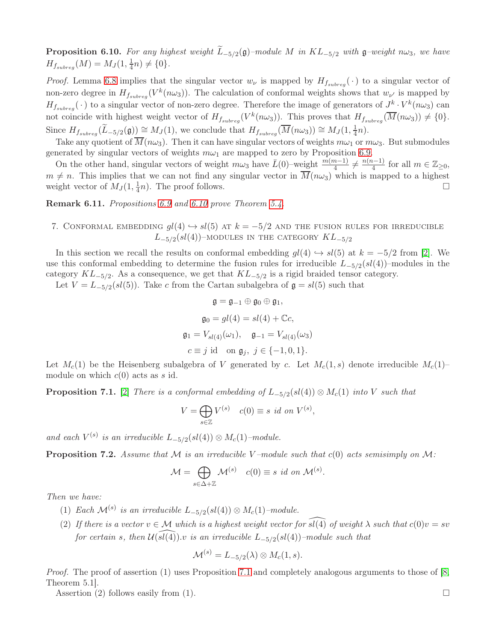<span id="page-18-0"></span>**Proposition 6.10.** For any highest weight  $L_{-5/2}(\mathfrak{g})$ -module M in  $KL_{-5/2}$  with  $\mathfrak{g}$ -weight  $n\omega_3$ , we have  $H_{f_{subreg}}(M)=M_J(1,\frac{1}{4})$  $(\frac{1}{4}n) \neq \{0\}.$ 

*Proof.* Lemma [6.8](#page-17-1) implies that the singular vector  $w_{\nu}$  is mapped by  $H_{f_{subreq}}(\cdot)$  to a singular vector of non-zero degree in  $H_{f_{subreg}}(V^k(n\omega_3))$ . The calculation of conformal weights shows that  $w_{\nu'}$  is mapped by  $H_{fsubreg}(\cdot)$  to a singular vector of non-zero degree. Therefore the image of generators of  $J^k \cdot V^k(n\omega_3)$  can not coincide with highest weight vector of  $H_{f_{subreg}}(V^k(n\omega_3))$ . This proves that  $H_{f_{subreg}}(\overline{M}(n\omega_3)) \neq \{0\}$ . Since  $H_{f_{subreg}}(\widetilde{L}_{-5/2}(\mathfrak{g})) \cong M_J(1)$ , we conclude that  $H_{f_{subreg}}(\overline{M}(n\omega_3)) \cong M_J(1, \frac{1}{4})$  $\frac{1}{4}n$ ).

Take any quotient of  $\overline{M}(n\omega_3)$ . Then it can have singular vectors of weights  $m\omega_1$  or  $m\omega_3$ . But submodules generated by singular vectors of weights  $m\omega_1$  are mapped to zero by Proposition [6.9.](#page-17-2)

On the other hand, singular vectors of weight  $m\omega_3$  have  $\bar{L}(0)$ –weight  $\frac{m(m-1)}{4} \neq \frac{n(n-1)}{4}$  $\frac{1}{4}$  for all  $m \in \mathbb{Z}_{\geq 0}$ ,  $m \neq n$ . This implies that we can not find any singular vector in  $\overline{M}(n\omega_3)$  which is mapped to a highest weight vector of  $M_J(1, \frac{1}{4})$  $\frac{1}{4}n$ ). The proof follows.

Remark 6.11. Propositions [6.9](#page-17-2) and [6.10](#page-18-0) prove Theorem [5.4.](#page-12-0)

7. CONFORMAL EMBEDDING  $gl(4) \hookrightarrow sl(5)$  at  $k = -5/2$  and the fusion rules for irreducible  $L_{-5/2}(sl(4))$ –modules in the category  $KL_{-5/2}$ 

In this section we recall the results on conformal embedding  $gl(4) \hookrightarrow sl(5)$  at  $k = -5/2$  from [\[2\]](#page-25-0). We use this conformal embedding to determine the fusion rules for irreducible  $L_{-5/2}(sl(4))$ -modules in the category  $KL_{-5/2}$ . As a consequence, we get that  $KL_{-5/2}$  is a rigid braided tensor category.

Let  $V = L_{-5/2}(sl(5))$ . Take c from the Cartan subalgebra of  $\mathfrak{g} = sl(5)$  such that

$$
\mathfrak{g} = \mathfrak{g}_{-1} \oplus \mathfrak{g}_0 \oplus \mathfrak{g}_1,
$$
  
\n
$$
\mathfrak{g}_0 = gl(4) = sl(4) + \mathbb{C}c,
$$
  
\n
$$
\mathfrak{g}_1 = V_{sl(4)}(\omega_1), \quad \mathfrak{g}_{-1} = V_{sl(4)}(\omega_3)
$$
  
\n
$$
c \equiv j \text{ id} \quad \text{on } \mathfrak{g}_j, \ j \in \{-1, 0, 1\}.
$$

Let  $M_c(1)$  be the Heisenberg subalgebra of V generated by c. Let  $M_c(1,s)$  denote irreducible  $M_c(1)$ – module on which  $c(0)$  acts as s id.

<span id="page-18-1"></span>**Proposition 7.1.** [\[2\]](#page-25-0) There is a conformal embedding of  $L_{-5/2}(sl(4)) \otimes M_c(1)$  into V such that

$$
V = \bigoplus_{s \in \mathbb{Z}} V^{(s)} \quad c(0) \equiv s \ id \ on \ V^{(s)},
$$

and each  $V^{(s)}$  is an irreducible  $L_{-5/2}(sl(4)) \otimes M_c(1)$ -module.

<span id="page-18-2"></span>**Proposition 7.2.** Assume that M is an irreducible V-module such that  $c(0)$  acts semisimply on M:

$$
\mathcal{M} = \bigoplus_{s \in \Delta + \mathbb{Z}} \mathcal{M}^{(s)} \quad c(0) \equiv s \ id \ on \ \mathcal{M}^{(s)}.
$$

Then we have:

- (1) Each  $\mathcal{M}^{(s)}$  is an irreducible  $L_{-5/2}(sl(4)) \otimes M_c(1)$ -module.
- (2) If there is a vector  $v \in M$  which is a highest weight vector for  $\widehat{sl(4)}$  of weight  $\lambda$  such that  $c(0)v = sv$ for certain s, then  $\mathcal{U}(\widehat{sl(4)})$ . v is an irreducible  $L_{-5/2}(sl(4))$ -module such that

$$
\mathcal{M}^{(s)} = L_{-5/2}(\lambda) \otimes M_c(1, s).
$$

*Proof.* The proof of assertion  $(1)$  uses Proposition [7.1](#page-18-1) and completely analogous arguments to those of [\[8,](#page-25-23) Theorem 5.1].

Assertion (2) follows easily from (1).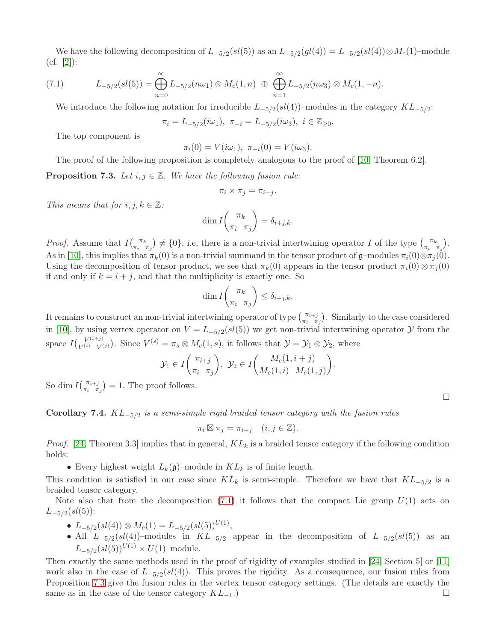We have the following decomposition of  $L_{-5/2}(sl(5))$  as an  $L_{-5/2}(gl(4)) = L_{-5/2}(sl(4)) \otimes M_c(1)$ -module (cf. [\[2\]](#page-25-0)):

(7.1) 
$$
L_{-5/2}(sl(5)) = \bigoplus_{n=0}^{\infty} L_{-5/2}(n\omega_1) \otimes M_c(1,n) \oplus \bigoplus_{n=1}^{\infty} L_{-5/2}(n\omega_3) \otimes M_c(1,-n).
$$

<span id="page-19-1"></span>We introduce the following notation for irreducible  $L_{-5/2}(sl(4))$ -modules in the category  $KL_{-5/2}$ :

$$
\pi_i = L_{-5/2}(i\omega_1), \ \pi_{-i} = L_{-5/2}(i\omega_3), \ i \in \mathbb{Z}_{\geq 0}.
$$

The top component is

$$
\pi_i(0) = V(i\omega_1), \ \pi_{-i}(0) = V(i\omega_3).
$$

The proof of the following proposition is completely analogous to the proof of [\[10,](#page-25-3) Theorem 6.2].

<span id="page-19-0"></span>**Proposition 7.3.** Let  $i, j \in \mathbb{Z}$ . We have the following fusion rule:

$$
\pi_i \times \pi_j = \pi_{i+j}.
$$

This means that for  $i, j, k \in \mathbb{Z}$ :

$$
\dim I\binom{\pi_k}{\pi_i \pi_j} = \delta_{i+j,k}.
$$

*Proof.* Assume that  $I\left(\begin{matrix} \pi_k \\ \pi_k \end{matrix}\right)$  $\{\pi_i^{\pi_k}, \pi_j\} \neq \{0\}$ , i.e, there is a non-trivial intertwining operator I of the type  $\binom{\pi_k}{\pi_i}$  $\frac{\pi_k}{\pi_i \pi_j}$ . As in [\[10\]](#page-25-3), this implies that  $\pi_k(0)$  is a non-trivial summand in the tensor product of g–modules  $\pi_i(0)\otimes \pi_i(0)$ . Using the decomposition of tensor product, we see that  $\pi_k(0)$  appears in the tensor product  $\pi_i(0) \otimes \pi_i(0)$ if and only if  $k = i + j$ , and that the multiplicity is exactly one. So

$$
\dim I\binom{\pi_k}{\pi_i \pi_j} \le \delta_{i+j,k}.
$$

It remains to construct an non-trivial intertwining operator of type  $\begin{pmatrix} \pi_{i+j} \\ \pi_{i+j} \end{pmatrix}$  $\begin{pmatrix} \pi_{i+j} \\ \pi_i & \pi_j \end{pmatrix}$ . Similarly to the case considered in [\[10\]](#page-25-3), by using vertex operator on  $V = L_{-5/2}(sl(5))$  we get non-trivial intertwining operator  $\mathcal Y$  from the space  $I\binom{V^{(i+j)}}{V^{(i)}}$  $V^{(i+j)}_{(i)}V^{(j)}$ . Since  $V^{(s)} = \pi_s \otimes M_c(1, s)$ , it follows that  $\mathcal{Y} = \mathcal{Y}_1 \otimes \mathcal{Y}_2$ , where

$$
\mathcal{Y}_1 \in I\left(\begin{matrix} \pi_{i+j} \\ \pi_i & \pi_j \end{matrix}\right), \ \mathcal{Y}_2 \in I\left(\begin{matrix} M_c(1,i+j) \\ M_c(1,i) & M_c(1,j) \end{matrix}\right).
$$

So dim  $I\begin{pmatrix} \pi_{i+j} \\ \pi_i & \pi_i \end{pmatrix}$  $\begin{bmatrix} \pi_{i+j} \\ \pi_i & \pi_j \end{bmatrix} = 1$ . The proof follows.

**Corollary 7.4.**  $KL_{-5/2}$  is a semi-simple rigid braided tensor category with the fusion rules

$$
\pi_i \boxtimes \pi_j = \pi_{i+j} \quad (i, j \in \mathbb{Z}).
$$

*Proof.* [\[24,](#page-25-9) Theorem 3.3] implies that in general,  $KL_k$  is a braided tensor category if the following condition holds:

• Every highest weight  $L_k(\mathfrak{g})$ -module in  $KL_k$  is of finite length.

This condition is satisfied in our case since  $KL_k$  is semi-simple. Therefore we have that  $KL_{-5/2}$  is a braided tensor category.

Note also that from the decomposition [\(7.1\)](#page-19-1) it follows that the compact Lie group  $U(1)$  acts on  $L_{-5/2}(sl(5))$ :

- $L_{-5/2}(sl(4))\otimes M_c(1)=L_{-5/2}(sl(5))^{U(1)},$
- All  $L_{-5/2}(sl(4))$ -modules in  $KL_{-5/2}$  appear in the decomposition of  $L_{-5/2}(sl(5))$  as an  $L_{-5/2}(sl(5))^{U(1)} \times U(1)$ -module.

Then exactly the same methods used in the proof of rigidity of examples studied in [\[24,](#page-25-9) Section 5] or [\[11\]](#page-25-24) work also in the case of  $L_{-5/2}(sl(4))$ . This proves the rigidity. As a consequence, our fusion rules from Proposition [7.3](#page-19-0) give the fusion rules in the vertex tensor category settings. (The details are exactly the same as in the case of the tensor category  $KL_{-1}$ .)

 $\Box$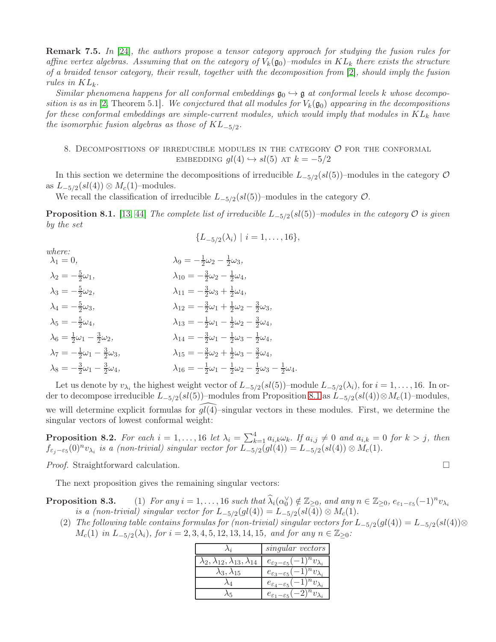Remark 7.5. In [\[24\]](#page-25-9), the authors propose a tensor category approach for studying the fusion rules for affine vertex algebras. Assuming that on the category of  $V_k(\mathfrak{g}_0)$ -modules in  $KL_k$  there exists the structure of a braided tensor category, their result, together with the decomposition from [\[2\]](#page-25-0), should imply the fusion rules in  $KL_k$ .

Similar phenomena happens for all conformal embeddings  $\mathfrak{g}_0 \hookrightarrow \mathfrak{g}$  at conformal levels k whose decompo-sition is as in [\[2,](#page-25-0) Theorem 5.1]. We conjectured that all modules for  $V_k(\mathfrak{g}_0)$  appearing in the decompositions for these conformal embeddings are simple-current modules, which would imply that modules in  $KL_k$  have the isomorphic fusion algebras as those of  $KL_{-5/2}$ .

### 8. DECOMPOSITIONS OF IRREDUCIBLE MODULES IN THE CATEGORY  $\mathcal O$  for the conformal EMBEDDING  $gl(4) \hookrightarrow sl(5)$  AT  $k = -5/2$

In this section we determine the decompositions of irreducible  $L_{-5/2}(sl(5))$ -modules in the category  $\mathcal O$ as  $L_{-5/2}(sl(4)) \otimes M_c(1)$ -modules.

We recall the classification of irreducible  $L_{-5/2}(sl(5))$ -modules in the category  $\mathcal{O}$ .

<span id="page-20-0"></span>**Proposition 8.1.** [\[13,](#page-25-2) [44\]](#page-26-13) The complete list of irreducible  $L_{-5/2}(sl(5))$ –modules in the category  $\mathcal O$  is given by the set

$$
\{L_{-5/2}(\lambda_i) \mid i = 1, \ldots, 16\},\
$$

| $\lambda_1=0,$                                            | $\lambda_9=-\tfrac{1}{2}\omega_2-\tfrac{1}{2}\omega_3,$                                                  |
|-----------------------------------------------------------|----------------------------------------------------------------------------------------------------------|
| $\lambda_2 = -\frac{5}{2}\omega_1,$                       | $\lambda_{10}=-\tfrac{3}{2}\omega_2-\tfrac{1}{2}\omega_4,$                                               |
| $\lambda_3 = -\frac{5}{2}\omega_2,$                       | $\lambda_{11} = -\frac{3}{2}\omega_3 + \frac{1}{2}\omega_4,$                                             |
| $\lambda_4 = -\frac{5}{2}\omega_3,$                       | $\lambda_{12} = -\frac{3}{2}\omega_1 + \frac{1}{2}\omega_2 - \frac{3}{2}\omega_3,$                       |
| $\lambda_5=-\tfrac{5}{2}\omega_4,$                        | $\lambda_{13} = -\frac{1}{2}\omega_1 - \frac{1}{2}\omega_2 - \frac{3}{2}\omega_4,$                       |
| $\lambda_6 = \frac{1}{2}\omega_1 - \frac{3}{2}\omega_2,$  | $\lambda_{14} = -\frac{3}{2}\omega_1 - \frac{1}{2}\omega_3 - \frac{1}{2}\omega_4,$                       |
| $\lambda_7 = -\frac{1}{2}\omega_1 - \frac{3}{2}\omega_3,$ | $\lambda_{15} = -\frac{3}{2}\omega_2 + \frac{1}{2}\omega_3 - \frac{3}{2}\omega_4,$                       |
| $\lambda_8 = -\frac{3}{2}\omega_1 - \frac{3}{2}\omega_4,$ | $\lambda_{16} = -\frac{1}{2}\omega_1 - \frac{1}{2}\omega_2 - \frac{1}{2}\omega_3 - \frac{1}{2}\omega_4.$ |

Let us denote by  $v_{\lambda_i}$  the highest weight vector of  $L_{-5/2}(sl(5))$ -module  $L_{-5/2}(\lambda_i)$ , for  $i=1,\ldots,16$ . In order to decompose irreducible  $L_{-5/2}(sl(5))$ –modules from Proposition [8.1](#page-20-0) as  $L_{-5/2}(sl(4)) \otimes M_c(1)$ –modules, we will determine explicit formulas for  $gl(4)$ -singular vectors in these modules. First, we determine the singular vectors of lowest conformal weight:

<span id="page-20-1"></span>**Proposition 8.2.** For each  $i = 1, ..., 16$  let  $\lambda_i = \sum_{k=1}^4 a_{i,k} \omega_k$ . If  $a_{i,j} \neq 0$  and  $a_{i,k} = 0$  for  $k > j$ , then  $f_{\varepsilon_j-\varepsilon_5}(0)^n v_{\lambda_i}$  is a (non-trivial) singular vector for  $L_{-5/2}(gl(4)) = L_{-5/2}(sl(4)) \otimes M_c(1)$ .

Proof. Straightforward calculation.

 $where$ 

The next proposition gives the remaining singular vectors:

**Proposition 8.3.** (1) For any  $i = 1, ..., 16$  such that  $\hat{\lambda}_i(\alpha_0^{\vee}) \notin \mathbb{Z}_{\geq 0}$ , and any  $n \in \mathbb{Z}_{\geq 0}$ ,  $e_{\varepsilon_1-\varepsilon_5}(-1)^n v_{\lambda_i}$ is a (non-trivial) singular vector for  $L_{-5/2}(gl(4)) = L_{-5/2}(sl(4)) \otimes M_c(1)$ .

(2) The following table contains formulas for (non-trivial) singular vectors for  $L_{-5/2}(gl(4)) = L_{-5/2}(sl(4)) \otimes$  $M_c(1)$  in  $L_{-5/2}(\lambda_i)$ , for  $i = 2, 3, 4, 5, 12, 13, 14, 15$ , and for any  $n \in \mathbb{Z}_{\geq 0}$ :

|                                                       | singular vectors                                             |
|-------------------------------------------------------|--------------------------------------------------------------|
| $\lambda_2, \lambda_{12}, \lambda_{13}, \lambda_{14}$ | $(-1)^n v_{\lambda_i}$<br>$e_{\varepsilon_2-\varepsilon_5}($ |
| $\lambda_3, \lambda_{15}$                             | $e_{\varepsilon_3-\varepsilon_5}(-1)^n v_{\lambda_i}$        |
|                                                       | $e_{\varepsilon_4-\varepsilon_5}($                           |
|                                                       | $e_{\varepsilon_1-\varepsilon_5}(-2)^n v$                    |

$$
\qquad \qquad \Box
$$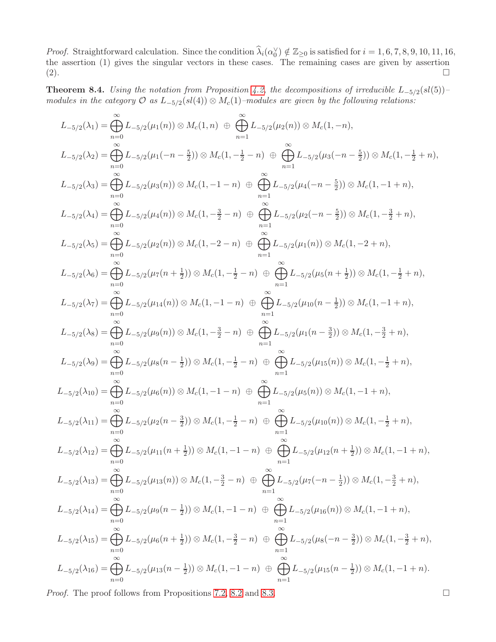*Proof.* Straightforward calculation. Since the condition  $\hat{\lambda}_i(\alpha_0^{\vee}) \notin \mathbb{Z}_{\geq 0}$  is satisfied for  $i = 1, 6, 7, 8, 9, 10, 11, 16$ , the assertion (1) gives the singular vectors in these cases. The remaining cases are given by assertion  $(2).$ 

<span id="page-21-0"></span>**Theorem 8.4.** Using the notation from Proposition [4.2,](#page-9-1) the decompositions of irreducible  $L_{-5/2}(sl(5))$ modules in the category  $\mathcal O$  as  $L_{-5/2}(sl(4))\otimes M_c(1)$ -modules are given by the following relations:

$$
L_{-5/2}(\lambda_{1}) = \sum_{m=0}^{\infty} L_{-5/2}(\mu_{1}(n)) \otimes M_{c}(1,n) \oplus \sum_{n=1}^{\infty} L_{-5/2}(\mu_{2}(n)) \otimes M_{c}(1,-n),
$$
  
\n
$$
L_{-5/2}(\lambda_{2}) = \sum_{m=0}^{\infty} L_{-5/2}(\mu_{1}(-n-\frac{5}{2})) \otimes M_{c}(1,-\frac{1}{2}-n) \oplus \sum_{n=1}^{\infty} L_{-5/2}(\mu_{3}(-n-\frac{5}{2})) \otimes M_{c}(1,-\frac{1}{2}+n),
$$
  
\n
$$
L_{-5/2}(\lambda_{3}) = \sum_{m=0}^{\infty} L_{-5/2}(\mu_{3}(n)) \otimes M_{c}(1,-1-n) \oplus \sum_{n=1}^{\infty} L_{-5/2}(\mu_{4}(-n-\frac{5}{2})) \otimes M_{c}(1,-1+n),
$$
  
\n
$$
L_{-5/2}(\lambda_{4}) = \sum_{m=0}^{\infty} L_{-5/2}(\mu_{4}(n)) \otimes M_{c}(1,-\frac{3}{2}-n) \oplus \sum_{n=1}^{\infty} L_{-5/2}(\mu_{2}(-n-\frac{5}{2})) \otimes M_{c}(1,-\frac{3}{2}+n),
$$
  
\n
$$
L_{-5/2}(\lambda_{5}) = \sum_{m=0}^{\infty} L_{-5/2}(\mu_{2}(n)) \otimes M_{c}(1,-2-n) \oplus \sum_{n=1}^{\infty} L_{-5/2}(\mu_{1}(n)) \otimes M_{c}(1,-2+n),
$$
  
\n
$$
L_{-5/2}(\lambda_{6}) = \sum_{m=0}^{\infty} L_{-5/2}(\mu_{1}(n+\frac{1}{2})) \otimes M_{c}(1,-\frac{1}{2}-n) \oplus \sum_{n=1}^{\infty} L_{-5/2}(\mu_{1}(n)-\frac{1}{2})) \otimes M_{c}(1,-\frac{1}{2}+n),
$$
  
\n
$$
L_{-5/2}(\lambda_{7}) = \sum_{m=0}^{\infty} L_{-5/2}(\mu_{1}(n)) \otimes M_{c}(1,-\frac{3}{2}-n) \
$$

*Proof.* The proof follows from Propositions [7.2,](#page-18-2) [8.2](#page-20-1) and 8.3.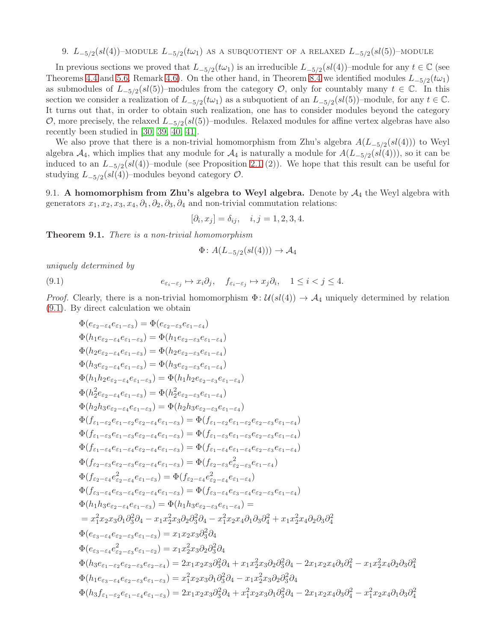9.  $L_{-5/2}(sl(4))$ -module  $L_{-5/2}(t\omega_1)$  as a subquotient of a relaxed  $L_{-5/2}(sl(5))$ -module

In previous sections we proved that  $L_{-5/2}(t\omega_1)$  is an irreducible  $L_{-5/2}(sl(4))$ -module for any  $t \in \mathbb{C}$  (see Theorems [4.4](#page-10-0) and [5.6,](#page-13-1) Remark [4.6\)](#page-11-4). On the other hand, in Theorem [8.4](#page-21-0) we identified modules  $L_{-5/2}(t\omega_1)$ as submodules of  $L_{-5/2}(sl(5))$ -modules from the category  $\mathcal{O}$ , only for countably many  $t \in \mathbb{C}$ . In this section we consider a realization of  $L_{-5/2}(t\omega_1)$  as a subquotient of an  $L_{-5/2}(sl(5))$ -module, for any  $t \in \mathbb{C}$ . It turns out that, in order to obtain such realization, one has to consider modules beyond the category  $\mathcal{O},$  more precisely, the relaxed  $L_{-5/2}(sl(5))$ –modules. Relaxed modules for affine vertex algebras have also recently been studied in [\[30,](#page-26-14) [39,](#page-26-15) [40,](#page-26-16) [41\]](#page-26-17).

We also prove that there is a non-trivial homomorphism from Zhu's algebra  $A(L_{-5/2}(sl(4)))$  to Weyl algebra  $\mathcal{A}_4$ , which implies that any module for  $\mathcal{A}_4$  is naturally a module for  $A(L_{-5/2}(sl(4))),$  so it can be induced to an  $L_{-5/2}(sl(4))$ -module (see Proposition [2.1](#page-3-4) (2)). We hope that this result can be useful for studying  $L_{-5/2}(sl(4))$ -modules beyond category  $\mathcal{O}$ .

9.1. A homomorphism from Zhu's algebra to Weyl algebra. Denote by  $A_4$  the Weyl algebra with generators  $x_1, x_2, x_3, x_4, \partial_1, \partial_2, \partial_3, \partial_4$  and non-trivial commutation relations:

$$
[\partial_i, x_j] = \delta_{ij}, \quad i, j = 1, 2, 3, 4.
$$

**Theorem 9.1.** There is a non-trivial homomorphism

<span id="page-22-0"></span>
$$
\Phi \colon A(L_{-5/2}(sl(4))) \to \mathcal{A}_4
$$

uniquely determined by

(9.1) 
$$
e_{\varepsilon_i-\varepsilon_j} \mapsto x_i\partial_j, \quad f_{\varepsilon_i-\varepsilon_j} \mapsto x_j\partial_i, \quad 1 \leq i < j \leq 4.
$$

*Proof.* Clearly, there is a non-trivial homomorphism  $\Phi: \mathcal{U}(sl(4)) \to \mathcal{A}_4$  uniquely determined by relation [\(9.1\)](#page-22-0). By direct calculation we obtain

$$
\begin{array}{l} \Phi(e_{\varepsilon_{2}-\varepsilon_{4}}e_{\varepsilon_{1}-\varepsilon_{3}})=\Phi(e_{\varepsilon_{2}-\varepsilon_{3}}e_{\varepsilon_{1}-\varepsilon_{4}})\\ \Phi(h_{1}e_{\varepsilon_{2}-\varepsilon_{4}}e_{\varepsilon_{1}-\varepsilon_{3}})=\Phi(h_{1}e_{\varepsilon_{2}-\varepsilon_{3}}e_{\varepsilon_{1}-\varepsilon_{4}})\\ \Phi(h_{2}e_{\varepsilon_{2}-\varepsilon_{4}}e_{\varepsilon_{1}-\varepsilon_{3}})=\Phi(h_{2}e_{\varepsilon_{2}-\varepsilon_{3}}e_{\varepsilon_{1}-\varepsilon_{4}})\\ \Phi(h_{1}h_{2}e_{\varepsilon_{2}-\varepsilon_{4}}e_{\varepsilon_{1}-\varepsilon_{3}})=\Phi(h_{1}h_{2}e_{\varepsilon_{2}-\varepsilon_{3}}e_{\varepsilon_{1}-\varepsilon_{4}})\\ \Phi(h_{2}h_{3}e_{\varepsilon_{2}-\varepsilon_{4}}e_{\varepsilon_{1}-\varepsilon_{3}})=\Phi(h_{2}h_{3}e_{\varepsilon_{2}-\varepsilon_{3}}e_{\varepsilon_{1}-\varepsilon_{4}})\\ \Phi(h_{2}h_{3}e_{\varepsilon_{2}-\varepsilon_{4}}e_{\varepsilon_{1}-\varepsilon_{3}})=\Phi(h_{2}h_{3}e_{\varepsilon_{2}-\varepsilon_{3}}e_{\varepsilon_{1}-\varepsilon_{4}})\\ \Phi(f_{\varepsilon_{1}-\varepsilon_{2}}e_{\varepsilon_{1}-\varepsilon_{2}}e_{\varepsilon_{2}-\varepsilon_{4}}e_{\varepsilon_{1}-\varepsilon_{3}})=\Phi(f_{\varepsilon_{1}-\varepsilon_{2}}e_{\varepsilon_{1}-\varepsilon_{3}}e_{\varepsilon_{2}-\varepsilon_{3}}e_{\varepsilon_{1}-\varepsilon_{4}})\\ \Phi(f_{\varepsilon_{1}-\varepsilon_{3}}e_{\varepsilon_{1}-\varepsilon_{4}}e_{\varepsilon_{2}-\varepsilon_{4}}e_{\varepsilon_{1}-\varepsilon_{3}})=\Phi(f_{\varepsilon_{1}-\varepsilon_{3}}e_{\varepsilon_{1}-\varepsilon_{3}}e_{\varepsilon_{1}-\varepsilon_{4}})\\ \Phi(f_{\varepsilon_{
$$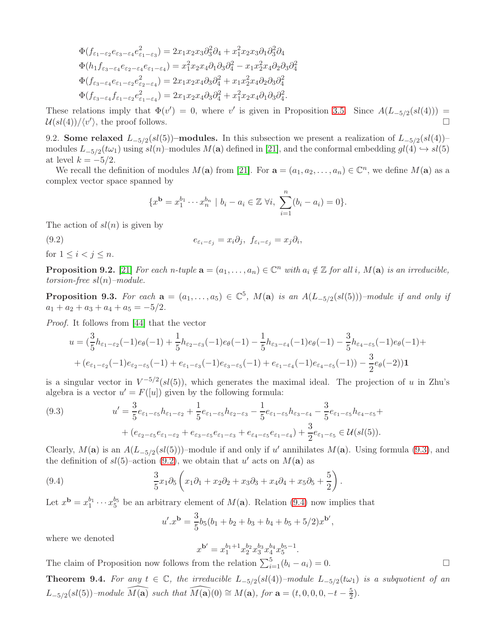$$
\Phi(f_{\varepsilon_{1}-\varepsilon_{2}}e_{\varepsilon_{3}-\varepsilon_{4}}e_{\varepsilon_{1}-\varepsilon_{3}}^{2}) = 2x_{1}x_{2}x_{3}\partial_{3}^{2}\partial_{4} + x_{1}^{2}x_{2}x_{3}\partial_{1}\partial_{3}^{2}\partial_{4}
$$
  
\n
$$
\Phi(h_{1}f_{\varepsilon_{3}-\varepsilon_{4}}e_{\varepsilon_{2}-\varepsilon_{4}}e_{\varepsilon_{1}-\varepsilon_{4}}) = x_{1}^{2}x_{2}x_{4}\partial_{1}\partial_{3}\partial_{4}^{2} - x_{1}x_{2}^{2}x_{4}\partial_{2}\partial_{3}\partial_{4}^{2}
$$
  
\n
$$
\Phi(f_{\varepsilon_{3}-\varepsilon_{4}}e_{\varepsilon_{1}-\varepsilon_{2}}e_{\varepsilon_{2}-\varepsilon_{4}}^{2}) = 2x_{1}x_{2}x_{4}\partial_{3}\partial_{4}^{2} + x_{1}x_{2}^{2}x_{4}\partial_{2}\partial_{3}\partial_{4}^{2}
$$
  
\n
$$
\Phi(f_{\varepsilon_{3}-\varepsilon_{4}}f_{\varepsilon_{1}-\varepsilon_{2}}e_{\varepsilon_{1}-\varepsilon_{4}}^{2}) = 2x_{1}x_{2}x_{4}\partial_{3}\partial_{4}^{2} + x_{1}^{2}x_{2}x_{4}\partial_{1}\partial_{3}\partial_{4}^{2}.
$$

These relations imply that  $\Phi(v') = 0$ , where v' is given in Proposition [3](#page-6-0).5. Since  $A(L_{-5/2}(sl(4)))$  $\mathcal{U}(sl(4))/\langle v' \rangle$ , the proof follows.

9.2. Some relaxed  $L_{-5/2}(sl(5))$ -modules. In this subsection we present a realization of  $L_{-5/2}(sl(4))$ modules  $L_{-5/2}(t\omega_1)$  using  $sl(n)$ -modules  $M(\mathbf{a})$  defined in [\[21\]](#page-25-25), and the conformal embedding  $gl(4) \hookrightarrow sl(5)$ at level  $k = -5/2$ .

We recall the definition of modules  $M(\mathbf{a})$  from [\[21\]](#page-25-25). For  $\mathbf{a} = (a_1, a_2, \dots, a_n) \in \mathbb{C}^n$ , we define  $M(\mathbf{a})$  as a complex vector space spanned by

<span id="page-23-1"></span>
$$
\{x^{\mathbf{b}} = x_1^{b_1} \cdots x_n^{b_n} \mid b_i - a_i \in \mathbb{Z} \,\forall i, \, \sum_{i=1}^n (b_i - a_i) = 0\}.
$$

The action of  $sl(n)$  is given by

(9.2) 
$$
e_{\varepsilon_i-\varepsilon_j}=x_i\partial_j, \ f_{\varepsilon_i-\varepsilon_j}=x_j\partial_i,
$$

for  $1 \leq i < j \leq n$ .

**Proposition 9.2.** [\[21\]](#page-25-25) For each n-tuple  $\mathbf{a} = (a_1, \ldots, a_n) \in \mathbb{C}^n$  with  $a_i \notin \mathbb{Z}$  for all i,  $M(\mathbf{a})$  is an irreducible, torsion-free  $sl(n)$ -module.

<span id="page-23-3"></span>**Proposition 9.3.** For each  $\mathbf{a} = (a_1, \ldots, a_5) \in \mathbb{C}^5$ ,  $M(\mathbf{a})$  is an  $A(L_{-5/2}(sl(5)))$ -module if and only if  $a_1 + a_2 + a_3 + a_4 + a_5 = -5/2.$ 

Proof. It follows from [\[44\]](#page-26-13) that the vector

$$
u = \left(\frac{3}{5}h_{\varepsilon_1-\varepsilon_2}(-1)e_{\theta}(-1) + \frac{1}{5}h_{\varepsilon_2-\varepsilon_3}(-1)e_{\theta}(-1) - \frac{1}{5}h_{\varepsilon_3-\varepsilon_4}(-1)e_{\theta}(-1) - \frac{3}{5}h_{\varepsilon_4-\varepsilon_5}(-1)e_{\theta}(-1) +
$$
  
+ 
$$
(e_{\varepsilon_1-\varepsilon_2}(-1)e_{\varepsilon_2-\varepsilon_5}(-1) + e_{\varepsilon_1-\varepsilon_3}(-1)e_{\varepsilon_3-\varepsilon_5}(-1) + e_{\varepsilon_1-\varepsilon_4}(-1)e_{\varepsilon_4-\varepsilon_5}(-1)) - \frac{3}{2}e_{\theta}(-2))\mathbf{1}
$$

is a singular vector in  $V^{-5/2}(sl(5))$ , which generates the maximal ideal. The projection of u in Zhu's algebra is a vector  $u' = F([u])$  given by the following formula:

<span id="page-23-0"></span>(9.3) 
$$
u' = \frac{3}{5}e_{\varepsilon_1-\varepsilon_5}h_{\varepsilon_1-\varepsilon_2} + \frac{1}{5}e_{\varepsilon_1-\varepsilon_5}h_{\varepsilon_2-\varepsilon_3} - \frac{1}{5}e_{\varepsilon_1-\varepsilon_5}h_{\varepsilon_3-\varepsilon_4} - \frac{3}{5}e_{\varepsilon_1-\varepsilon_5}h_{\varepsilon_4-\varepsilon_5} +
$$

$$
+ (e_{\varepsilon_2-\varepsilon_5}e_{\varepsilon_1-\varepsilon_2} + e_{\varepsilon_3-\varepsilon_5}e_{\varepsilon_1-\varepsilon_3} + e_{\varepsilon_4-\varepsilon_5}e_{\varepsilon_1-\varepsilon_4}) + \frac{3}{2}e_{\varepsilon_1-\varepsilon_5} \in \mathcal{U}(sl(5)).
$$

Clearly,  $M(\mathbf{a})$  is an  $A(L_{-5/2}(sl(5)))$ -module if and only if u' annihilates  $M(\mathbf{a})$ . Using formula [\(9.3\)](#page-23-0), and the definition of  $sl(5)$ -action [\(9.2\)](#page-23-1), we obtain that u' acts on  $M(\mathbf{a})$  as

(9.4) 
$$
\frac{3}{5}x_1\partial_5\left(x_1\partial_1+x_2\partial_2+x_3\partial_3+x_4\partial_4+x_5\partial_5+\frac{5}{2}\right).
$$

Let  $x^{\mathbf{b}} = x_1^{b_1} \cdots x_5^{b_5}$  be an arbitrary element of  $M(\mathbf{a})$ . Relation [\(9.4\)](#page-23-2) now implies that

<span id="page-23-2"></span>
$$
u' \cdot x^{\mathbf{b}} = \frac{3}{5}b_5(b_1 + b_2 + b_3 + b_4 + b_5 + 5/2)x^{\mathbf{b}'},
$$

where we denoted

$$
x^{\mathbf{b}'} = x_1^{b_1+1} x_2^{b_2} x_3^{b_3} x_4^{b_4} x_5^{b_5-1}.
$$

The claim of Proposition now follows from the relation  $\sum_{i=1}^{5} (b_i - a_i) = 0$ .

**Theorem 9.4.** For any  $t \in \mathbb{C}$ , the irreducible  $L_{-5/2}(sl(4))$ -module  $L_{-5/2}(t\omega_1)$  is a subquotient of an  $L_{-5/2}(sl(5))$ -module  $\widehat{M(\mathbf{a})}$  such that  $\widehat{M(\mathbf{a})}(0) \cong M(\mathbf{a})$ , for  $\mathbf{a} = (t, 0, 0, 0, -t - \frac{5}{2})$  $\frac{5}{2}$ .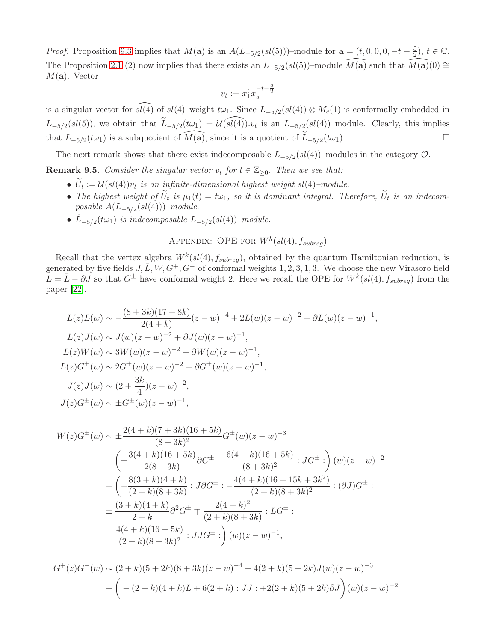*Proof.* Proposition [9.3](#page-23-3) implies that  $M(\mathbf{a})$  is an  $A(L_{-5/2}(sl(5)))$ -module for  $\mathbf{a} = (t, 0, 0, 0, -t - \frac{5}{2}), t \in \mathbb{C}$ . The Proposition [2.1](#page-3-4) (2) now implies that there exists an  $L_{-5/2}(sl(5))$ -module  $\widehat{M(\mathbf{a})}$  such that  $\widehat{M(\mathbf{a})}(0) \cong$  $M(\mathbf{a})$ . Vector

$$
v_t := x_1^t x_5^{-t - \frac{5}{2}}
$$

is a singular vector for  $\widehat{sl(4)}$  of  $sl(4)$ –weight  $t\omega_1$ . Since  $L_{-5/2}(sl(4))\otimes M_c(1)$  is conformally embedded in  $L_{-5/2}(sl(5))$ , we obtain that  $\widetilde{L}_{-5/2}(t\omega_1) = \mathcal{U}(\widehat{sl(4)})$ . is an  $L_{-5/2}(sl(4))$ -module. Clearly, this implies that  $L_{-5/2}(t\omega_1)$  is a subquotient of  $\widehat{M(\mathbf{a})}$ , since it is a quotient of  $\widetilde{L}_{-5/2}(t\omega_1)$ .

The next remark shows that there exist indecomposable  $L_{-5/2}(sl(4))$ -modules in the category  $\mathcal{O}$ .

<span id="page-24-0"></span>**Remark 9.5.** Consider the singular vector  $v_t$  for  $t \in \mathbb{Z}_{\geq 0}$ . Then we see that:

- $U_t := \mathcal{U}(sl(4))v_t$  is an infinite-dimensional highest weight  $sl(4)$ -module.
- The highest weight of  $U_t$  is  $\mu_1(t) = t\omega_1$ , so it is dominant integral. Therefore,  $U_t$  is an indecomposable  $A(L_{-5/2}(sl(4)))$ -module.
- $L_{-5/2}(t\omega_1)$  is indecomposable  $L_{-5/2}(sl(4))$ -module.

# APPENDIX: OPE FOR  $W^k(sl(4), f_{subreg})$

Recall that the vertex algebra  $W^k(sl(4), f_{subreg})$ , obtained by the quantum Hamiltonian reduction, is generated by five fields  $J, \bar{L}, W, G^+, G^-$  of conformal weights 1, 2, 3, 1, 3. We choose the new Virasoro field  $\bar{L} = \bar{L} - \partial J$  so that  $G^{\pm}$  have conformal weight 2. Here we recall the OPE for  $W^k(sl(4), f_{subreg})$  from the paper [\[22\]](#page-25-20).

$$
L(z)L(w) \sim -\frac{(8+3k)(17+8k)}{2(4+k)}(z-w)^{-4} + 2L(w)(z-w)^{-2} + \partial L(w)(z-w)^{-1},
$$
  
\n
$$
L(z)J(w) \sim J(w)(z-w)^{-2} + \partial J(w)(z-w)^{-1},
$$
  
\n
$$
L(z)W(w) \sim 3W(w)(z-w)^{-2} + \partial W(w)(z-w)^{-1},
$$
  
\n
$$
L(z)G^{\pm}(w) \sim 2G^{\pm}(w)(z-w)^{-2} + \partial G^{\pm}(w)(z-w)^{-1},
$$
  
\n
$$
J(z)J(w) \sim (2+\frac{3k}{4})(z-w)^{-2},
$$
  
\n
$$
J(z)G^{\pm}(w) \sim \pm G^{\pm}(w)(z-w)^{-1},
$$

$$
W(z)G^{\pm}(w) \sim \pm \frac{2(4+k)(7+3k)(16+5k)}{(8+3k)^2} G^{\pm}(w)(z-w)^{-3}
$$
  
+ 
$$
\left(\pm \frac{3(4+k)(16+5k)}{2(8+3k)} \partial G^{\pm} - \frac{6(4+k)(16+5k)}{(8+3k)^2} : JG^{\pm} : \right) (w)(z-w)^{-2}
$$
  
+ 
$$
\left(-\frac{8(3+k)(4+k)}{(2+k)(8+3k)} : J\partial G^{\pm} : -\frac{4(4+k)(16+15k+3k^2)}{(2+k)(8+3k)^2} : (\partial J)G^{\pm} : \right.
$$
  

$$
\pm \frac{(3+k)(4+k)}{2+k} \partial^2 G^{\pm} \mp \frac{2(4+k)^2}{(2+k)(8+3k)} : LG^{\pm} :
$$
  

$$
\pm \frac{4(4+k)(16+5k)}{(2+k)(8+3k)^2} : JJG^{\pm} : \right) (w)(z-w)^{-1},
$$

$$
G^{+}(z)G^{-}(w) \sim (2+k)(5+2k)(8+3k)(z-w)^{-4} + 4(2+k)(5+2k)J(w)(z-w)^{-3} + \left( -(2+k)(4+k)L + 6(2+k) : JJ : +2(2+k)(5+2k)\partial J \right)(w)(z-w)^{-2}
$$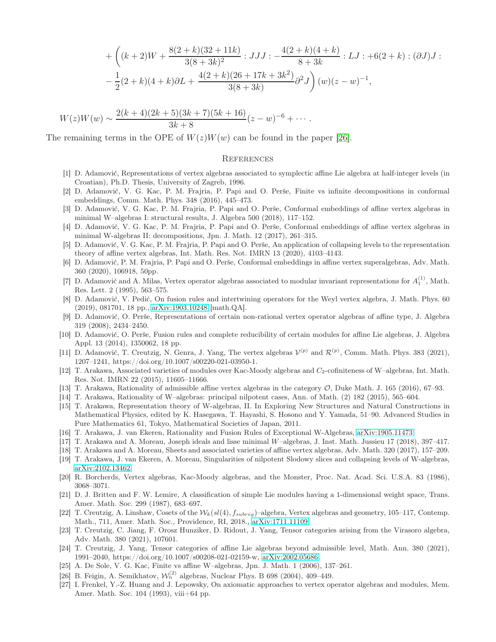+ 
$$
\left( (k+2)W + \frac{8(2+k)(32+11k)}{3(8+3k)^2} :JJJ - \frac{4(2+k)(4+k)}{8+3k} : LJ: +6(2+k) : (\partial J)J :
$$
  
  $-\frac{1}{2}(2+k)(4+k)\partial L + \frac{4(2+k)(26+17k+3k^2)}{3(8+3k)}\partial^2 J \right)(w)(z-w)^{-1},$ 

$$
W(z)W(w) \sim \frac{2(k+4)(2k+5)(3k+7)(5k+16)}{3k+8}(z-w)^{-6} + \cdots
$$

The remaining terms in the OPE of  $W(z)W(w)$  can be found in the paper [\[26\]](#page-25-26).

#### **REFERENCES**

- <span id="page-25-12"></span>[1] D. Adamović, Representations of vertex algebras associated to symplectic affine Lie algebra at half-integer levels (in Croatian), Ph.D. Thesis, University of Zagreb, 1996.
- <span id="page-25-0"></span>[2] D. Adamović, V. G. Kac, P. M. Frajria, P. Papi and O. Perše, Finite vs infinite decompositions in conformal embeddings, Comm. Math. Phys. 348 (2016), 445–473.
- <span id="page-25-21"></span>[3] D. Adamović, V. G. Kac, P. M. Frajria, P. Papi and O. Perše, Conformal embeddings of affine vertex algebras in minimal W–algebras I: structural results, J. Algebra 500 (2018), 117–152.
- <span id="page-25-6"></span>[4] D. Adamović, V. G. Kac, P. M. Frajria, P. Papi and O. Perše, Conformal embeddings of affine vertex algebras in minimal W-algebras II: decompositions, Jpn. J. Math. 12 (2017), 261–315.
- <span id="page-25-5"></span>[5] D. Adamović, V. G. Kac, P. M. Frajria, P. Papi and O. Perše, An application of collapsing levels to the representation theory of affine vertex algebras, Int. Math. Res. Not. IMRN 13 (2020), 4103–4143.
- <span id="page-25-7"></span>[6] D. Adamović, P. M. Frajria, P. Papi and O. Perše, Conformal embeddings in affine vertex superalgebras, Adv. Math. 360 (2020), 106918, 50pp.
- <span id="page-25-1"></span>[7] D. Adamović and A. Milas, Vertex operator algebras associated to modular invariant representations for  $A_1^{(1)}$ , Math. Res. Lett. 2 (1995), 563–575.
- <span id="page-25-23"></span>[8] D. Adamović, V. Pedić, On fusion rules and intertwining operators for the Weyl vertex algebra, J. Math. Phys. 60 (2019), 081701, 18 pp., [arXiv:1903.10248](http://arxiv.org/abs/1903.10248) [math.QA].
- <span id="page-25-13"></span>[9] D. Adamović, O. Perše, Representations of certain non-rational vertex operator algebras of affine type, J. Algebra 319 (2008), 2434–2450.
- <span id="page-25-3"></span>[10] D. Adamović, O. Perše, Fusion rules and complete reducibility of certain modules for affine Lie algebras, J. Algebra Appl. 13 (2014), 1350062, 18 pp.
- <span id="page-25-24"></span>[11] D. Adamović, T. Creutzig, N. Genra, J. Yang, The vertex algebras  $\mathcal{V}^{(p)}$  and  $\mathcal{R}^{(p)}$ , Comm. Math. Phys. 383 (2021), 1207–1241, https://doi.org/10.1007/s00220-021-03950-1.
- <span id="page-25-22"></span>[12] T. Arakawa, Associated varieties of modules over Kac-Moody algebras and C2-cofiniteness of W–algebras, Int. Math. Res. Not. IMRN 22 (2015), 11605–11666.
- <span id="page-25-19"></span><span id="page-25-2"></span>[13] T. Arakawa, Rationality of admissible affine vertex algebras in the category O, Duke Math. J. 165 (2016), 67–93.
- <span id="page-25-15"></span>[14] T. Arakawa, Rationality of W–algebras: principal nilpotent cases, Ann. of Math. (2) 182 (2015), 565–604.
- [15] T. Arakawa, Representation theory of W-algebras, II. In Exploring New Structures and Natural Constructions in Mathematical Physics, edited by K. Hasegawa, T. Hayashi, S. Hosono and Y. Yamada, 51–90. Advanced Studies in Pure Mathematics 61, Tokyo, Mathematical Societies of Japan, 2011.
- <span id="page-25-10"></span><span id="page-25-4"></span>[16] T. Arakawa, J. van Ekeren, Rationality and Fusion Rules of Exceptional W-Algebras, [arXiv:1905.11473](http://arxiv.org/abs/1905.11473)
- <span id="page-25-14"></span>[17] T. Arakawa and A. Moreau, Joseph ideals and lisse minimal W–algebras, J. Inst. Math. Jussieu 17 (2018), 397–417.
- <span id="page-25-11"></span>[18] T. Arakawa and A. Moreau, Sheets and associated varieties of affine vertex algebras, Adv. Math. 320 (2017), 157–209.
- <span id="page-25-16"></span>[19] T. Arakawa, J. van Ekeren, A. Moreau, Singularities of nilpotent Slodowy slices and collapsing levels of W-algebras, [arXiv:2102.13462.](http://arxiv.org/abs/2102.13462)
- <span id="page-25-25"></span>[20] R. Borcherds, Vertex algebras, Kac-Moody algebras, and the Monster, Proc. Nat. Acad. Sci. U.S.A. 83 (1986), 3068–3071.
- [21] D. J. Britten and F. W. Lemire, A classification of simple Lie modules having a 1-dimensional weight space, Trans. Amer. Math. Soc. 299 (1987), 683–697.
- <span id="page-25-20"></span>[22] T. Creutzig, A. Linshaw, Cosets of the  $W_k(sl(4), f_{subreg})$ –algebra, Vertex algebras and geometry, 105–117, Contemp. Math., 711, Amer. Math. Soc., Providence, RI, 2018., [arXiv:1711.11109.](http://arxiv.org/abs/1711.11109)
- <span id="page-25-8"></span>[23] T. Creutzig, C. Jiang, F. Orosz Hunziker, D. Ridout, J. Yang, Tensor categories arising from the Virasoro algebra, Adv. Math. 380 (2021), 107601.
- <span id="page-25-9"></span>[24] T. Creutzig, J. Yang, Tensor categories of affine Lie algebras beyond admissible level, Math. Ann. 380 (2021), 1991–2040, https://doi.org/10.1007/s00208-021-02159-w, [arXiv:2002.05686.](http://arxiv.org/abs/2002.05686)
- <span id="page-25-26"></span><span id="page-25-18"></span>[25] A. De Sole, V. G. Kac, Finite vs affine W–algebras, Jpn. J. Math. 1 (2006), 137–261.
- <span id="page-25-17"></span>[26] B. Feigin, A. Semikhatov,  $\mathcal{W}_n^{(2)}$  algebras, Nuclear Phys. B 698 (2004), 409–449.
- [27] I. Frenkel, Y.-Z. Huang and J. Lepowsky, On axiomatic approaches to vertex operator algebras and modules, Mem. Amer. Math. Soc. 104 (1993), viii+64 pp.